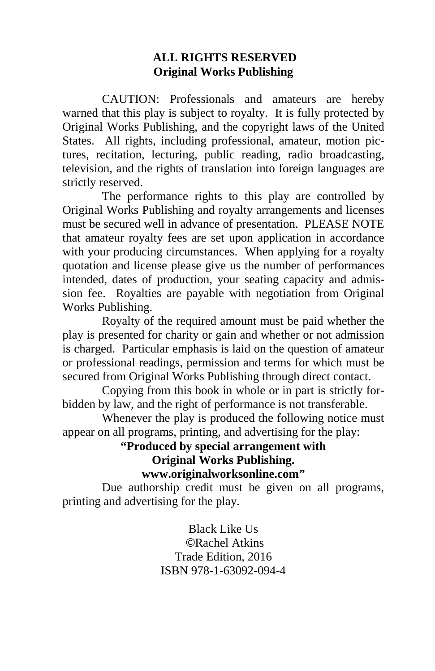# **ALL RIGHTS RESERVED Original Works Publishing**

 CAUTION: Professionals and amateurs are hereby warned that this play is subject to royalty. It is fully protected by Original Works Publishing, and the copyright laws of the United States. All rights, including professional, amateur, motion pictures, recitation, lecturing, public reading, radio broadcasting, television, and the rights of translation into foreign languages are strictly reserved.

 The performance rights to this play are controlled by Original Works Publishing and royalty arrangements and licenses must be secured well in advance of presentation. PLEASE NOTE that amateur royalty fees are set upon application in accordance with your producing circumstances. When applying for a royalty quotation and license please give us the number of performances intended, dates of production, your seating capacity and admission fee. Royalties are payable with negotiation from Original Works Publishing.

 Royalty of the required amount must be paid whether the play is presented for charity or gain and whether or not admission is charged. Particular emphasis is laid on the question of amateur or professional readings, permission and terms for which must be secured from Original Works Publishing through direct contact.

 Copying from this book in whole or in part is strictly forbidden by law, and the right of performance is not transferable.

 Whenever the play is produced the following notice must appear on all programs, printing, and advertising for the play:

# **"Produced by special arrangement with Original Works Publishing. www.originalworksonline.com"**

 Due authorship credit must be given on all programs, printing and advertising for the play.

> Black Like Us ©Rachel Atkins Trade Edition, 2016 ISBN 978-1-63092-094-4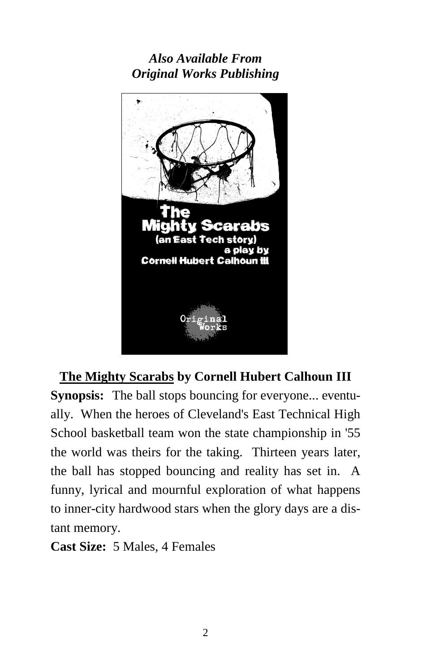*Also Available From Original Works Publishing* 



# **The Mighty Scarabs by Cornell Hubert Calhoun III**

**Synopsis:** The ball stops bouncing for everyone... eventually. When the heroes of Cleveland's East Technical High School basketball team won the state championship in '55 the world was theirs for the taking. Thirteen years later, the ball has stopped bouncing and reality has set in. A funny, lyrical and mournful exploration of what happens to inner-city hardwood stars when the glory days are a distant memory.

**Cast Size:** 5 Males, 4 Females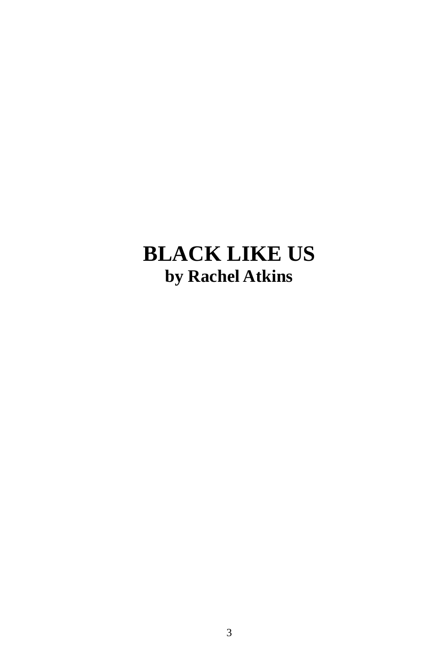# **BLACK LIKE US by Rachel Atkins**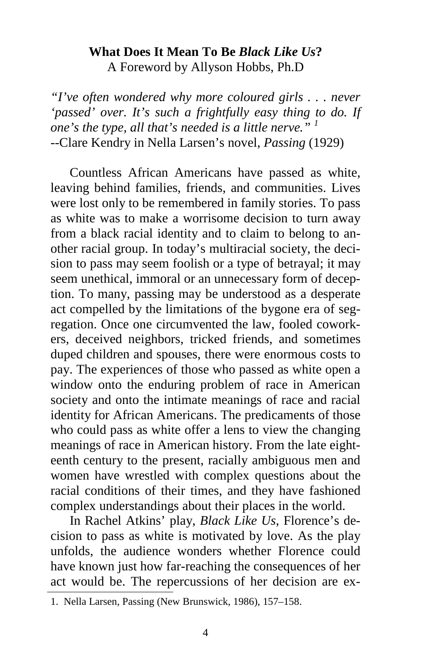# **What Does It Mean To Be** *Black Like Us***?**  A Foreword by Allyson Hobbs, Ph.D

*"I've often wondered why more coloured girls . . . never 'passed' over. It's such a frightfully easy thing to do. If one's the type, all that's needed is a little nerve." <sup>1</sup>* --Clare Kendry in Nella Larsen's novel, *Passing* (1929)

Countless African Americans have passed as white, leaving behind families, friends, and communities. Lives were lost only to be remembered in family stories. To pass as white was to make a worrisome decision to turn away from a black racial identity and to claim to belong to another racial group. In today's multiracial society, the decision to pass may seem foolish or a type of betrayal; it may seem unethical, immoral or an unnecessary form of deception. To many, passing may be understood as a desperate act compelled by the limitations of the bygone era of segregation. Once one circumvented the law, fooled coworkers, deceived neighbors, tricked friends, and sometimes duped children and spouses, there were enormous costs to pay. The experiences of those who passed as white open a window onto the enduring problem of race in American society and onto the intimate meanings of race and racial identity for African Americans. The predicaments of those who could pass as white offer a lens to view the changing meanings of race in American history. From the late eighteenth century to the present, racially ambiguous men and women have wrestled with complex questions about the racial conditions of their times, and they have fashioned complex understandings about their places in the world.

In Rachel Atkins' play, *Black Like Us*, Florence's decision to pass as white is motivated by love. As the play unfolds, the audience wonders whether Florence could have known just how far-reaching the consequences of her act would be. The repercussions of her decision are ex-

<sup>1.</sup> Nella Larsen, Passing (New Brunswick, 1986), 157–158.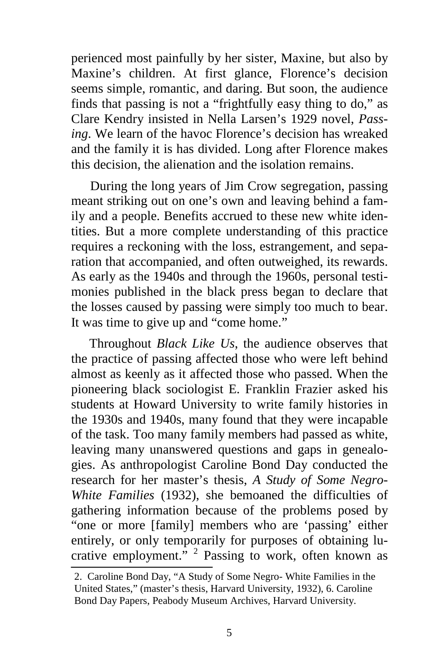perienced most painfully by her sister, Maxine, but also by Maxine's children. At first glance, Florence's decision seems simple, romantic, and daring. But soon, the audience finds that passing is not a "frightfully easy thing to do," as Clare Kendry insisted in Nella Larsen's 1929 novel, *Passing*. We learn of the havoc Florence's decision has wreaked and the family it is has divided. Long after Florence makes this decision, the alienation and the isolation remains.

During the long years of Jim Crow segregation, passing meant striking out on one's own and leaving behind a family and a people. Benefits accrued to these new white identities. But a more complete understanding of this practice requires a reckoning with the loss, estrangement, and separation that accompanied, and often outweighed, its rewards. As early as the 1940s and through the 1960s, personal testimonies published in the black press began to declare that the losses caused by passing were simply too much to bear. It was time to give up and "come home."

Throughout *Black Like Us*, the audience observes that the practice of passing affected those who were left behind almost as keenly as it affected those who passed. When the pioneering black sociologist E. Franklin Frazier asked his students at Howard University to write family histories in the 1930s and 1940s, many found that they were incapable of the task. Too many family members had passed as white, leaving many unanswered questions and gaps in genealogies. As anthropologist Caroline Bond Day conducted the research for her master's thesis, *A Study of Some Negro-White Families* (1932), she bemoaned the difficulties of gathering information because of the problems posed by "one or more [family] members who are 'passing' either entirely, or only temporarily for purposes of obtaining lucrative employment."  $2$  Passing to work, often known as

<sup>2.</sup> Caroline Bond Day, "A Study of Some Negro- White Families in the United States," (master's thesis, Harvard University, 1932), 6. Caroline Bond Day Papers, Peabody Museum Archives, Harvard University.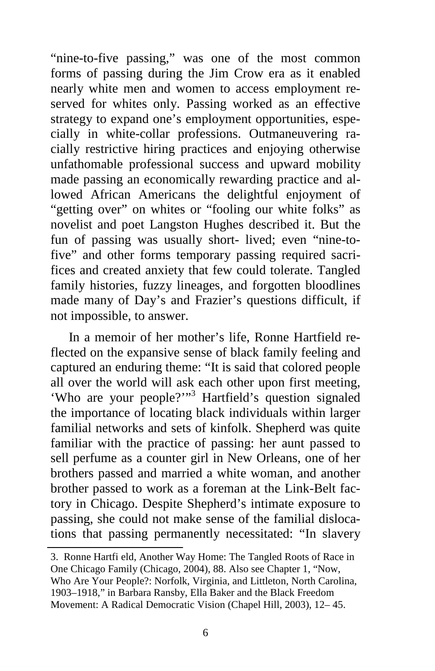"nine-to-five passing," was one of the most common forms of passing during the Jim Crow era as it enabled nearly white men and women to access employment reserved for whites only. Passing worked as an effective strategy to expand one's employment opportunities, especially in white-collar professions. Outmaneuvering racially restrictive hiring practices and enjoying otherwise unfathomable professional success and upward mobility made passing an economically rewarding practice and allowed African Americans the delightful enjoyment of "getting over" on whites or "fooling our white folks" as novelist and poet Langston Hughes described it. But the fun of passing was usually short- lived; even "nine-tofive" and other forms temporary passing required sacrifices and created anxiety that few could tolerate. Tangled family histories, fuzzy lineages, and forgotten bloodlines made many of Day's and Frazier's questions difficult, if not impossible, to answer.

In a memoir of her mother's life, Ronne Hartfield reflected on the expansive sense of black family feeling and captured an enduring theme: "It is said that colored people all over the world will ask each other upon first meeting, 'Who are your people?'"<sup>3</sup> Hartfield's question signaled the importance of locating black individuals within larger familial networks and sets of kinfolk. Shepherd was quite familiar with the practice of passing: her aunt passed to sell perfume as a counter girl in New Orleans, one of her brothers passed and married a white woman, and another brother passed to work as a foreman at the Link-Belt factory in Chicago. Despite Shepherd's intimate exposure to passing, she could not make sense of the familial dislocations that passing permanently necessitated: "In slavery

<sup>3.</sup> Ronne Hartfi eld, Another Way Home: The Tangled Roots of Race in One Chicago Family (Chicago, 2004), 88. Also see Chapter 1, "Now, Who Are Your People?: Norfolk, Virginia, and Littleton, North Carolina, 1903–1918," in Barbara Ransby, Ella Baker and the Black Freedom Movement: A Radical Democratic Vision (Chapel Hill, 2003), 12– 45.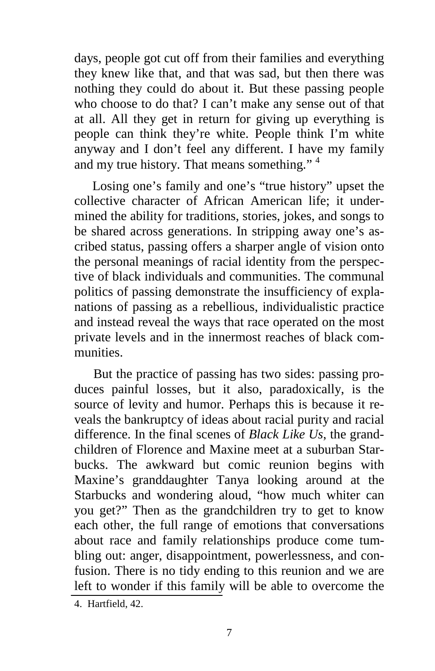days, people got cut off from their families and everything they knew like that, and that was sad, but then there was nothing they could do about it. But these passing people who choose to do that? I can't make any sense out of that at all. All they get in return for giving up everything is people can think they're white. People think I'm white anyway and I don't feel any different. I have my family and my true history. That means something."<sup>4</sup>

Losing one's family and one's "true history" upset the collective character of African American life; it undermined the ability for traditions, stories, jokes, and songs to be shared across generations. In stripping away one's ascribed status, passing offers a sharper angle of vision onto the personal meanings of racial identity from the perspective of black individuals and communities. The communal politics of passing demonstrate the insufficiency of explanations of passing as a rebellious, individualistic practice and instead reveal the ways that race operated on the most private levels and in the innermost reaches of black communities.

But the practice of passing has two sides: passing produces painful losses, but it also, paradoxically, is the source of levity and humor. Perhaps this is because it reveals the bankruptcy of ideas about racial purity and racial difference. In the final scenes of *Black Like Us*, the grandchildren of Florence and Maxine meet at a suburban Starbucks. The awkward but comic reunion begins with Maxine's granddaughter Tanya looking around at the Starbucks and wondering aloud, "how much whiter can you get?" Then as the grandchildren try to get to know each other, the full range of emotions that conversations about race and family relationships produce come tumbling out: anger, disappointment, powerlessness, and confusion. There is no tidy ending to this reunion and we are left to wonder if this family will be able to overcome the

<sup>4.</sup> Hartfield, 42.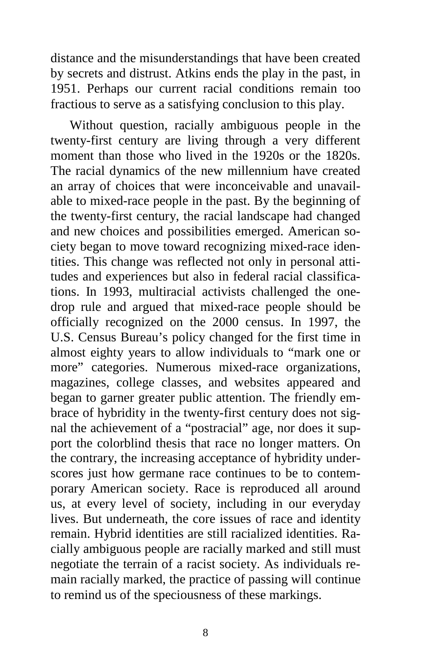distance and the misunderstandings that have been created by secrets and distrust. Atkins ends the play in the past, in 1951. Perhaps our current racial conditions remain too fractious to serve as a satisfying conclusion to this play.

Without question, racially ambiguous people in the twenty-first century are living through a very different moment than those who lived in the 1920s or the 1820s. The racial dynamics of the new millennium have created an array of choices that were inconceivable and unavailable to mixed-race people in the past. By the beginning of the twenty-first century, the racial landscape had changed and new choices and possibilities emerged. American society began to move toward recognizing mixed-race identities. This change was reflected not only in personal attitudes and experiences but also in federal racial classifications. In 1993, multiracial activists challenged the onedrop rule and argued that mixed-race people should be officially recognized on the 2000 census. In 1997, the U.S. Census Bureau's policy changed for the first time in almost eighty years to allow individuals to "mark one or more" categories. Numerous mixed-race organizations, magazines, college classes, and websites appeared and began to garner greater public attention. The friendly embrace of hybridity in the twenty-first century does not signal the achievement of a "postracial" age, nor does it support the colorblind thesis that race no longer matters. On the contrary, the increasing acceptance of hybridity underscores just how germane race continues to be to contemporary American society. Race is reproduced all around us, at every level of society, including in our everyday lives. But underneath, the core issues of race and identity remain. Hybrid identities are still racialized identities. Racially ambiguous people are racially marked and still must negotiate the terrain of a racist society. As individuals remain racially marked, the practice of passing will continue to remind us of the speciousness of these markings.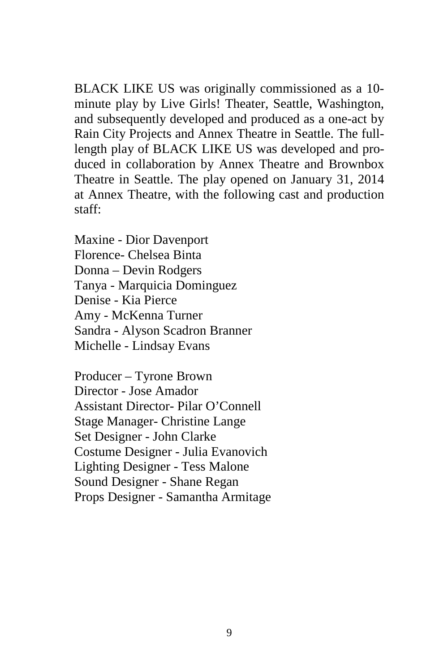BLACK LIKE US was originally commissioned as a 10 minute play by Live Girls! Theater, Seattle, Washington, and subsequently developed and produced as a one-act by Rain City Projects and Annex Theatre in Seattle. The fulllength play of BLACK LIKE US was developed and produced in collaboration by Annex Theatre and Brownbox Theatre in Seattle. The play opened on January 31, 2014 at Annex Theatre, with the following cast and production staff:

Maxine - Dior Davenport Florence- Chelsea Binta Donna – Devin Rodgers Tanya - Marquicia Dominguez Denise - Kia Pierce Amy - McKenna Turner Sandra - Alyson Scadron Branner Michelle - Lindsay Evans

Producer – Tyrone Brown Director - Jose Amador Assistant Director- Pilar O'Connell Stage Manager- Christine Lange Set Designer - John Clarke Costume Designer - Julia Evanovich Lighting Designer - Tess Malone Sound Designer - Shane Regan Props Designer - Samantha Armitage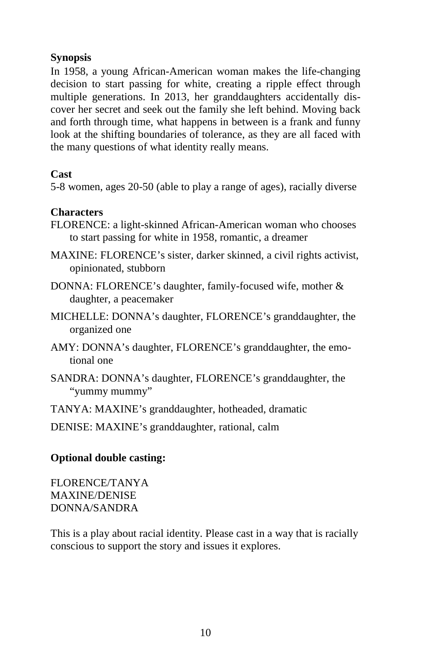## **Synopsis**

In 1958, a young African-American woman makes the life-changing decision to start passing for white, creating a ripple effect through multiple generations. In 2013, her granddaughters accidentally discover her secret and seek out the family she left behind. Moving back and forth through time, what happens in between is a frank and funny look at the shifting boundaries of tolerance, as they are all faced with the many questions of what identity really means.

## **Cast**

5-8 women, ages 20-50 (able to play a range of ages), racially diverse

### **Characters**

- FLORENCE: a light-skinned African-American woman who chooses to start passing for white in 1958, romantic, a dreamer
- MAXINE: FLORENCE's sister, darker skinned, a civil rights activist, opinionated, stubborn
- DONNA: FLORENCE's daughter, family-focused wife, mother & daughter, a peacemaker
- MICHELLE: DONNA's daughter, FLORENCE's granddaughter, the organized one
- AMY: DONNA's daughter, FLORENCE's granddaughter, the emotional one
- SANDRA: DONNA's daughter, FLORENCE's granddaughter, the "yummy mummy"
- TANYA: MAXINE's granddaughter, hotheaded, dramatic
- DENISE: MAXINE's granddaughter, rational, calm

# **Optional double casting:**

FLORENCE/TANYA MAXINE/DENISE DONNA/SANDRA

This is a play about racial identity. Please cast in a way that is racially conscious to support the story and issues it explores.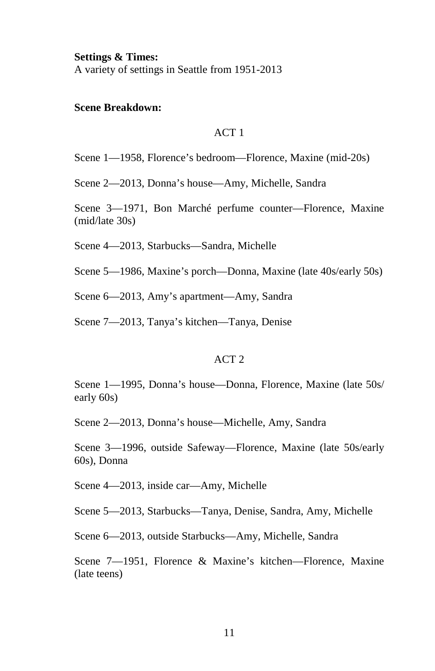**Settings & Times:** 

A variety of settings in Seattle from 1951-2013

#### **Scene Breakdown:**

#### ACT 1

Scene 1—1958, Florence's bedroom—Florence, Maxine (mid-20s)

Scene 2—2013, Donna's house—Amy, Michelle, Sandra

Scene 3—1971, Bon Marché perfume counter—Florence, Maxine (mid/late 30s)

Scene 4—2013, Starbucks—Sandra, Michelle

Scene 5—1986, Maxine's porch—Donna, Maxine (late 40s/early 50s)

Scene 6—2013, Amy's apartment—Amy, Sandra

Scene 7—2013, Tanya's kitchen—Tanya, Denise

#### ACT 2

Scene 1—1995, Donna's house—Donna, Florence, Maxine (late 50s/ early 60s)

Scene 2—2013, Donna's house—Michelle, Amy, Sandra

Scene 3—1996, outside Safeway—Florence, Maxine (late 50s/early 60s), Donna

Scene 4—2013, inside car—Amy, Michelle

Scene 5—2013, Starbucks—Tanya, Denise, Sandra, Amy, Michelle

Scene 6—2013, outside Starbucks—Amy, Michelle, Sandra

Scene 7—1951, Florence & Maxine's kitchen—Florence, Maxine (late teens)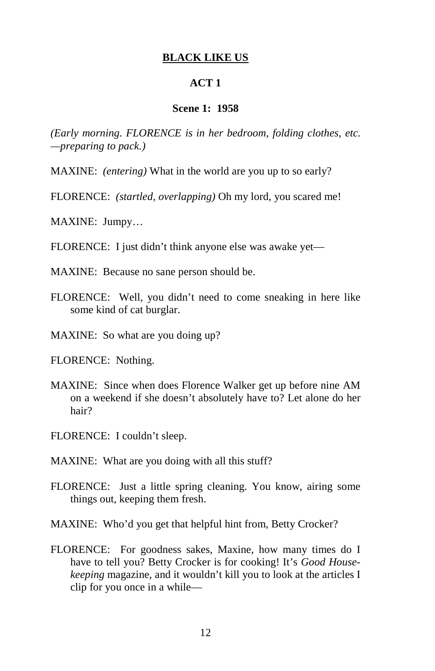#### **BLACK LIKE US**

#### **ACT 1**

#### **Scene 1: 1958**

*(Early morning. FLORENCE is in her bedroom, folding clothes, etc. —preparing to pack.)* 

- MAXINE: *(entering)* What in the world are you up to so early?
- FLORENCE: *(startled, overlapping)* Oh my lord, you scared me!
- MAXINE: Jumpy…
- FLORENCE: I just didn't think anyone else was awake yet—
- MAXINE: Because no sane person should be.
- FLORENCE: Well, you didn't need to come sneaking in here like some kind of cat burglar.
- MAXINE: So what are you doing up?
- FLORENCE: Nothing.
- MAXINE: Since when does Florence Walker get up before nine AM on a weekend if she doesn't absolutely have to? Let alone do her hair?
- FLORENCE: I couldn't sleep.
- MAXINE: What are you doing with all this stuff?
- FLORENCE: Just a little spring cleaning. You know, airing some things out, keeping them fresh.
- MAXINE: Who'd you get that helpful hint from, Betty Crocker?
- FLORENCE: For goodness sakes, Maxine, how many times do I have to tell you? Betty Crocker is for cooking! It's *Good Housekeeping* magazine, and it wouldn't kill you to look at the articles I clip for you once in a while—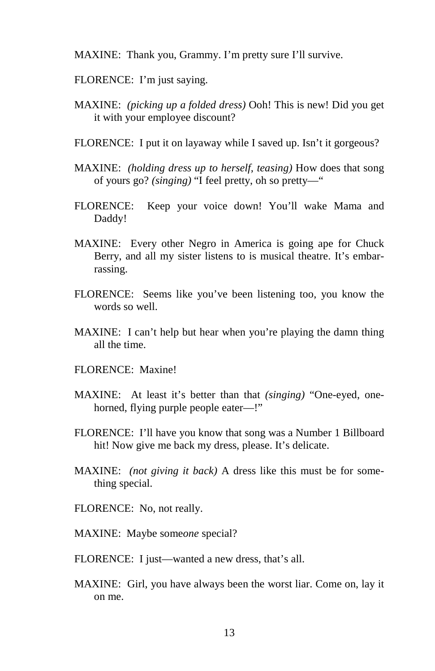- MAXINE: Thank you, Grammy. I'm pretty sure I'll survive.
- FLORENCE: I'm just saying.
- MAXINE: *(picking up a folded dress)* Ooh! This is new! Did you get it with your employee discount?
- FLORENCE: I put it on layaway while I saved up. Isn't it gorgeous?
- MAXINE: *(holding dress up to herself, teasing)* How does that song of yours go? *(singing)* "I feel pretty, oh so pretty—"
- FLORENCE: Keep your voice down! You'll wake Mama and Daddy!
- MAXINE: Every other Negro in America is going ape for Chuck Berry, and all my sister listens to is musical theatre. It's embarrassing.
- FLORENCE: Seems like you've been listening too, you know the words so well.
- MAXINE: I can't help but hear when you're playing the damn thing all the time.
- FLORENCE: Maxine!
- MAXINE: At least it's better than that *(singing)* "One-eyed, onehorned, flying purple people eater—!"
- FLORENCE: I'll have you know that song was a Number 1 Billboard hit! Now give me back my dress, please. It's delicate.
- MAXINE: *(not giving it back)* A dress like this must be for something special.
- FLORENCE: No, not really.
- MAXINE: Maybe some*one* special?
- FLORENCE: I just—wanted a new dress, that's all.
- MAXINE: Girl, you have always been the worst liar. Come on, lay it on me.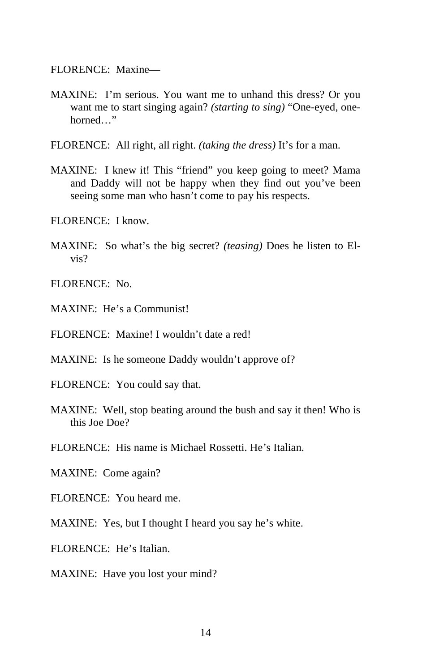FLORENCE: Maxine—

- MAXINE: I'm serious. You want me to unhand this dress? Or you want me to start singing again? *(starting to sing)* "One-eyed, onehorned…"
- FLORENCE: All right, all right. *(taking the dress)* It's for a man.
- MAXINE: I knew it! This "friend" you keep going to meet? Mama and Daddy will not be happy when they find out you've been seeing some man who hasn't come to pay his respects.
- FLORENCE: I know.
- MAXINE: So what's the big secret? *(teasing)* Does he listen to Elvis?

FLORENCE: No.

MAXINE: He's a Communist!

FLORENCE: Maxine! I wouldn't date a red!

- MAXINE: Is he someone Daddy wouldn't approve of?
- FLORENCE: You could say that.
- MAXINE: Well, stop beating around the bush and say it then! Who is this Joe Doe?

FLORENCE: His name is Michael Rossetti. He's Italian.

- MAXINE: Come again?
- FLORENCE: You heard me.
- MAXINE: Yes, but I thought I heard you say he's white.

FLORENCE: He's Italian.

MAXINE: Have you lost your mind?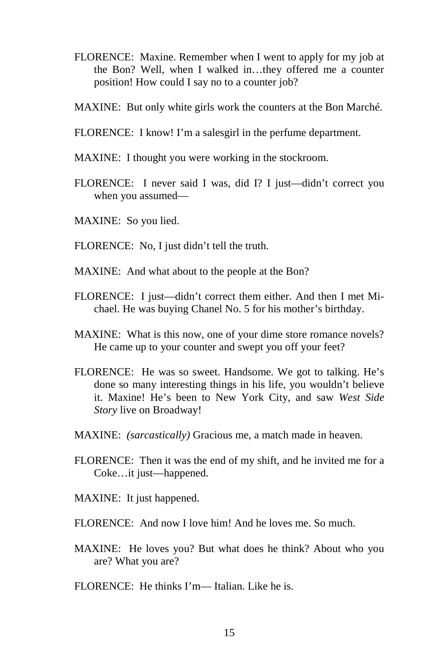- FLORENCE: Maxine. Remember when I went to apply for my job at the Bon? Well, when I walked in…they offered me a counter position! How could I say no to a counter job?
- MAXINE: But only white girls work the counters at the Bon Marché.
- FLORENCE: I know! I'm a salesgirl in the perfume department.
- MAXINE: I thought you were working in the stockroom.
- FLORENCE: I never said I was, did I? I just—didn't correct you when you assumed—
- MAXINE: So you lied.
- FLORENCE: No, I just didn't tell the truth.
- MAXINE: And what about to the people at the Bon?
- FLORENCE: I just—didn't correct them either. And then I met Michael. He was buying Chanel No. 5 for his mother's birthday.
- MAXINE: What is this now, one of your dime store romance novels? He came up to your counter and swept you off your feet?
- FLORENCE: He was so sweet. Handsome. We got to talking. He's done so many interesting things in his life, you wouldn't believe it. Maxine! He's been to New York City, and saw *West Side Story* live on Broadway!
- MAXINE: *(sarcastically)* Gracious me, a match made in heaven.
- FLORENCE: Then it was the end of my shift, and he invited me for a Coke…it just—happened.
- MAXINE: It just happened.
- FLORENCE: And now I love him! And he loves me. So much.
- MAXINE: He loves you? But what does he think? About who you are? What you are?
- FLORENCE: He thinks I'm— Italian. Like he is.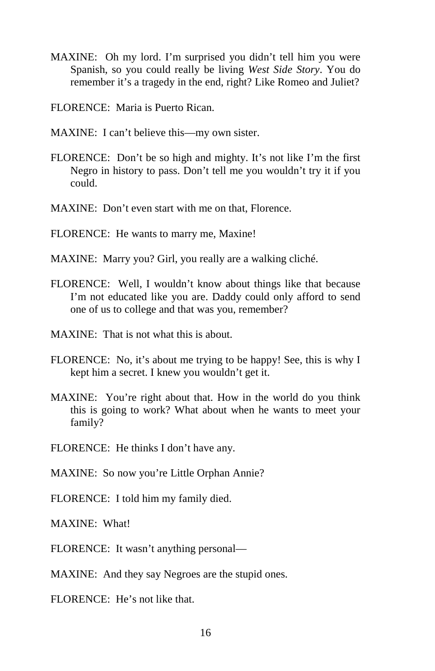- MAXINE: Oh my lord. I'm surprised you didn't tell him you were Spanish, so you could really be living *West Side Story*. You do remember it's a tragedy in the end, right? Like Romeo and Juliet?
- FLORENCE: Maria is Puerto Rican.
- MAXINE: I can't believe this—my own sister.
- FLORENCE: Don't be so high and mighty. It's not like I'm the first Negro in history to pass. Don't tell me you wouldn't try it if you could.
- MAXINE: Don't even start with me on that, Florence.
- FLORENCE: He wants to marry me, Maxine!
- MAXINE: Marry you? Girl, you really are a walking cliché.
- FLORENCE: Well, I wouldn't know about things like that because I'm not educated like you are. Daddy could only afford to send one of us to college and that was you, remember?
- MAXINE: That is not what this is about.
- FLORENCE: No, it's about me trying to be happy! See, this is why I kept him a secret. I knew you wouldn't get it.
- MAXINE: You're right about that. How in the world do you think this is going to work? What about when he wants to meet your family?
- FLORENCE: He thinks I don't have any.

MAXINE: So now you're Little Orphan Annie?

FLORENCE: I told him my family died.

MAXINE: What!

FLORENCE: It wasn't anything personal—

MAXINE: And they say Negroes are the stupid ones.

FLORENCE: He's not like that.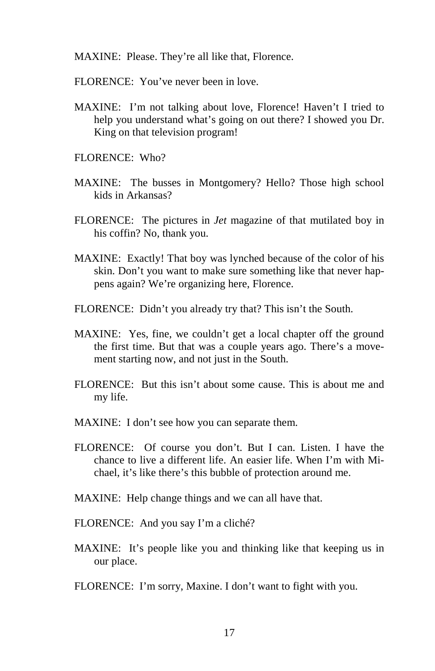MAXINE: Please. They're all like that, Florence.

FLORENCE: You've never been in love.

- MAXINE: I'm not talking about love, Florence! Haven't I tried to help you understand what's going on out there? I showed you Dr. King on that television program!
- FLORENCE: Who?
- MAXINE: The busses in Montgomery? Hello? Those high school kids in Arkansas?
- FLORENCE: The pictures in *Jet* magazine of that mutilated boy in his coffin? No, thank you.
- MAXINE: Exactly! That boy was lynched because of the color of his skin. Don't you want to make sure something like that never happens again? We're organizing here, Florence.
- FLORENCE: Didn't you already try that? This isn't the South.
- MAXINE: Yes, fine, we couldn't get a local chapter off the ground the first time. But that was a couple years ago. There's a movement starting now, and not just in the South.
- FLORENCE: But this isn't about some cause. This is about me and my life.
- MAXINE: I don't see how you can separate them.
- FLORENCE: Of course you don't. But I can. Listen. I have the chance to live a different life. An easier life. When I'm with Michael, it's like there's this bubble of protection around me.
- MAXINE: Help change things and we can all have that.
- FLORENCE: And you say I'm a cliché?
- MAXINE: It's people like you and thinking like that keeping us in our place.
- FLORENCE: I'm sorry, Maxine. I don't want to fight with you.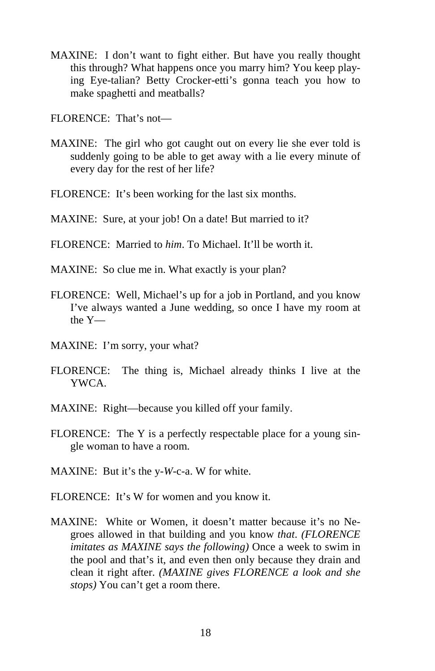- MAXINE: I don't want to fight either. But have you really thought this through? What happens once you marry him? You keep playing Eye-talian? Betty Crocker-etti's gonna teach you how to make spaghetti and meatballs?
- FLORENCE: That's not—
- MAXINE: The girl who got caught out on every lie she ever told is suddenly going to be able to get away with a lie every minute of every day for the rest of her life?
- FLORENCE: It's been working for the last six months.
- MAXINE: Sure, at your job! On a date! But married to it?
- FLORENCE: Married to *him*. To Michael. It'll be worth it.
- MAXINE: So clue me in. What exactly is your plan?
- FLORENCE: Well, Michael's up for a job in Portland, and you know I've always wanted a June wedding, so once I have my room at the Y—
- MAXINE: I'm sorry, your what?
- FLORENCE: The thing is, Michael already thinks I live at the YWCA.
- MAXINE: Right—because you killed off your family.
- FLORENCE: The Y is a perfectly respectable place for a young single woman to have a room.
- MAXINE: But it's the y-*W*-c-a. W for white.
- FLORENCE: It's W for women and you know it.
- MAXINE: White or Women, it doesn't matter because it's no Negroes allowed in that building and you know *that*. *(FLORENCE imitates as MAXINE says the following)* Once a week to swim in the pool and that's it, and even then only because they drain and clean it right after. *(MAXINE gives FLORENCE a look and she stops)* You can't get a room there.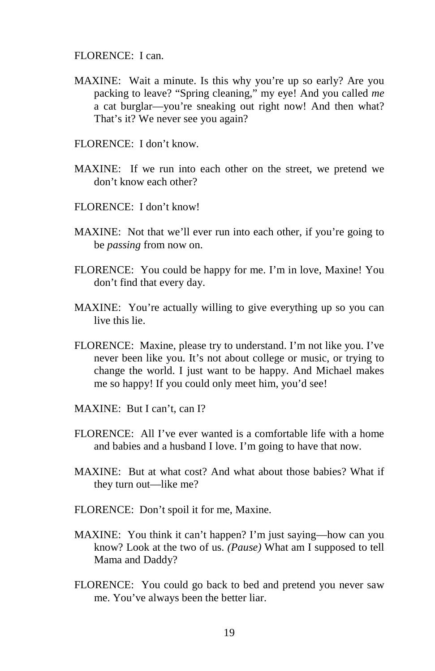FLORENCE: I can.

- MAXINE: Wait a minute. Is this why you're up so early? Are you packing to leave? "Spring cleaning," my eye! And you called *me* a cat burglar—you're sneaking out right now! And then what? That's it? We never see you again?
- FLORENCE: I don't know.
- MAXINE: If we run into each other on the street, we pretend we don't know each other?
- FLORENCE: I don't know!
- MAXINE: Not that we'll ever run into each other, if you're going to be *passing* from now on.
- FLORENCE: You could be happy for me. I'm in love, Maxine! You don't find that every day.
- MAXINE: You're actually willing to give everything up so you can live this lie.
- FLORENCE: Maxine, please try to understand. I'm not like you. I've never been like you. It's not about college or music, or trying to change the world. I just want to be happy. And Michael makes me so happy! If you could only meet him, you'd see!
- MAXINE: But I can't, can I?
- FLORENCE: All I've ever wanted is a comfortable life with a home and babies and a husband I love. I'm going to have that now.
- MAXINE: But at what cost? And what about those babies? What if they turn out—like me?
- FLORENCE: Don't spoil it for me, Maxine.
- MAXINE: You think it can't happen? I'm just saying—how can you know? Look at the two of us. *(Pause)* What am I supposed to tell Mama and Daddy?
- FLORENCE: You could go back to bed and pretend you never saw me. You've always been the better liar.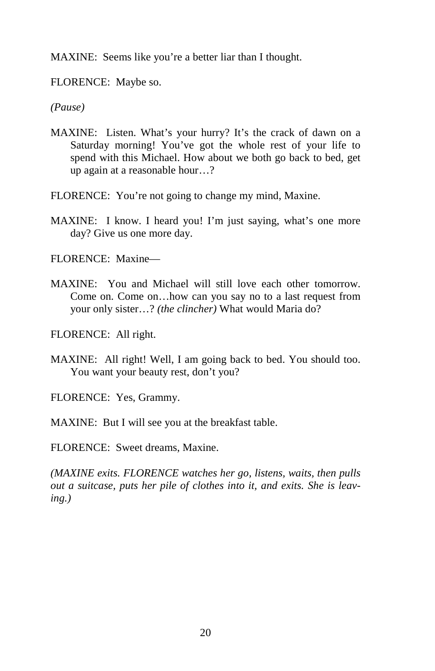MAXINE: Seems like you're a better liar than I thought.

FLORENCE: Maybe so.

*(Pause)* 

- MAXINE: Listen. What's your hurry? It's the crack of dawn on a Saturday morning! You've got the whole rest of your life to spend with this Michael. How about we both go back to bed, get up again at a reasonable hour…?
- FLORENCE: You're not going to change my mind, Maxine.
- MAXINE: I know. I heard you! I'm just saying, what's one more day? Give us one more day.

FLORENCE: Maxine—

MAXINE: You and Michael will still love each other tomorrow. Come on. Come on…how can you say no to a last request from your only sister…? *(the clincher)* What would Maria do?

FLORENCE: All right.

MAXINE: All right! Well, I am going back to bed. You should too. You want your beauty rest, don't you?

FLORENCE: Yes, Grammy.

MAXINE: But I will see you at the breakfast table.

FLORENCE: Sweet dreams, Maxine.

*(MAXINE exits. FLORENCE watches her go, listens, waits, then pulls out a suitcase, puts her pile of clothes into it, and exits. She is leaving.)*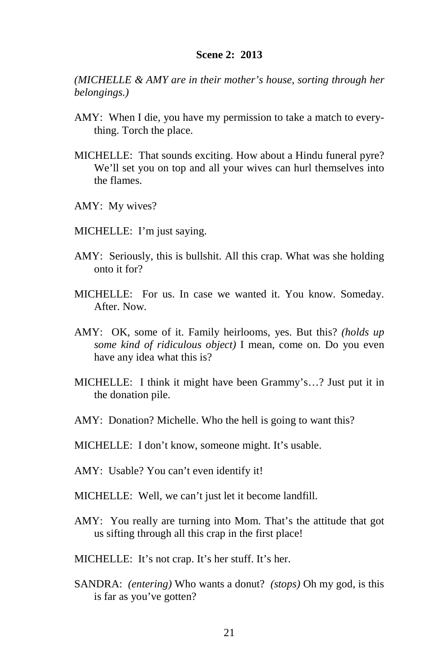#### **Scene 2: 2013**

*(MICHELLE & AMY are in their mother's house, sorting through her belongings.)* 

- AMY: When I die, you have my permission to take a match to everything. Torch the place.
- MICHELLE: That sounds exciting. How about a Hindu funeral pyre? We'll set you on top and all your wives can hurl themselves into the flames.
- AMY: My wives?
- MICHELLE: I'm just saying.
- AMY: Seriously, this is bullshit. All this crap. What was she holding onto it for?
- MICHELLE: For us. In case we wanted it. You know. Someday. After. Now.
- AMY: OK, some of it. Family heirlooms, yes. But this? *(holds up some kind of ridiculous object)* I mean, come on. Do you even have any idea what this is?
- MICHELLE: I think it might have been Grammy's…? Just put it in the donation pile.
- AMY: Donation? Michelle. Who the hell is going to want this?
- MICHELLE: I don't know, someone might. It's usable.
- AMY: Usable? You can't even identify it!
- MICHELLE: Well, we can't just let it become landfill.
- AMY: You really are turning into Mom. That's the attitude that got us sifting through all this crap in the first place!
- MICHELLE: It's not crap. It's her stuff. It's her.
- SANDRA: *(entering)* Who wants a donut? *(stops)* Oh my god, is this is far as you've gotten?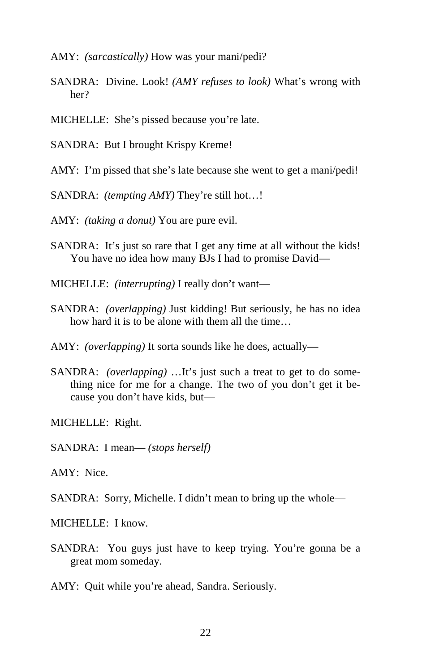AMY: *(sarcastically)* How was your mani/pedi?

- SANDRA: Divine. Look! *(AMY refuses to look)* What's wrong with her?
- MICHELLE: She's pissed because you're late.
- SANDRA: But I brought Krispy Kreme!
- AMY: I'm pissed that she's late because she went to get a mani/pedi!

SANDRA: *(tempting AMY)* They're still hot…!

AMY: *(taking a donut)* You are pure evil.

- SANDRA: It's just so rare that I get any time at all without the kids! You have no idea how many BJs I had to promise David—
- MICHELLE: *(interrupting)* I really don't want—
- SANDRA: *(overlapping)* Just kidding! But seriously, he has no idea how hard it is to be alone with them all the time…
- AMY: *(overlapping)* It sorta sounds like he does, actually—
- SANDRA: *(overlapping)* …It's just such a treat to get to do something nice for me for a change. The two of you don't get it because you don't have kids, but—

MICHELLE: Right.

SANDRA: I mean— *(stops herself)* 

AMY: Nice.

SANDRA: Sorry, Michelle. I didn't mean to bring up the whole—

MICHELLE: I know.

- SANDRA: You guys just have to keep trying. You're gonna be a great mom someday.
- AMY: Quit while you're ahead, Sandra. Seriously.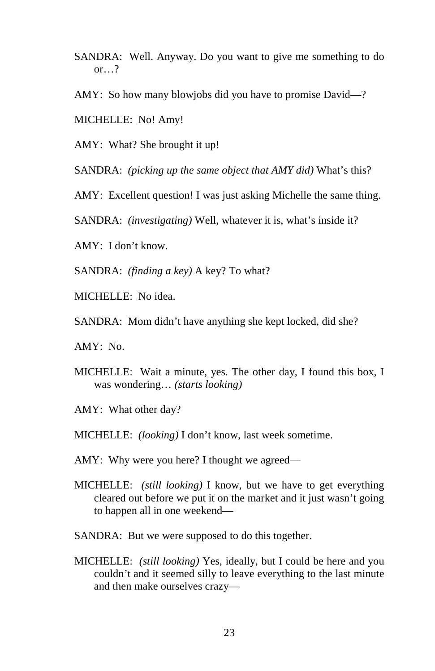- SANDRA: Well. Anyway. Do you want to give me something to do or…?
- AMY: So how many blowjobs did you have to promise David—?

MICHELLE: No! Amy!

AMY: What? She brought it up!

SANDRA: *(picking up the same object that AMY did)* What's this?

AMY: Excellent question! I was just asking Michelle the same thing.

SANDRA: *(investigating)* Well, whatever it is, what's inside it?

AMY: I don't know.

SANDRA: *(finding a key)* A key? To what?

MICHELLE: No idea.

SANDRA: Mom didn't have anything she kept locked, did she?

AMY: No.

- MICHELLE: Wait a minute, yes. The other day, I found this box, I was wondering… *(starts looking)*
- AMY: What other day?

MICHELLE: *(looking)* I don't know, last week sometime.

- AMY: Why were you here? I thought we agreed—
- MICHELLE: *(still looking)* I know, but we have to get everything cleared out before we put it on the market and it just wasn't going to happen all in one weekend—
- SANDRA: But we were supposed to do this together.
- MICHELLE: *(still looking)* Yes, ideally, but I could be here and you couldn't and it seemed silly to leave everything to the last minute and then make ourselves crazy—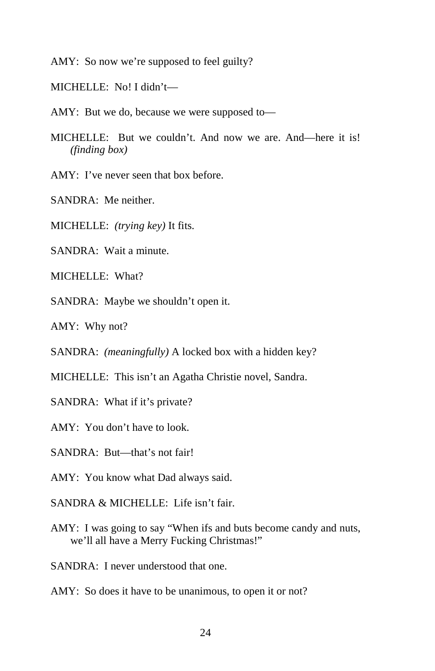AMY: So now we're supposed to feel guilty?

MICHELLE: No! I didn't—

AMY: But we do, because we were supposed to—

MICHELLE: But we couldn't. And now we are. And—here it is! *(finding box)*

AMY: I've never seen that box before.

SANDRA: Me neither.

MICHELLE: *(trying key)* It fits.

SANDRA: Wait a minute.

MICHELLE: What?

SANDRA: Maybe we shouldn't open it.

AMY: Why not?

SANDRA: *(meaningfully)* A locked box with a hidden key?

MICHELLE: This isn't an Agatha Christie novel, Sandra.

SANDRA: What if it's private?

AMY: You don't have to look.

SANDRA: But—that's not fair!

AMY: You know what Dad always said.

SANDRA & MICHELLE: Life isn't fair.

AMY: I was going to say "When ifs and buts become candy and nuts, we'll all have a Merry Fucking Christmas!"

SANDRA: I never understood that one.

AMY: So does it have to be unanimous, to open it or not?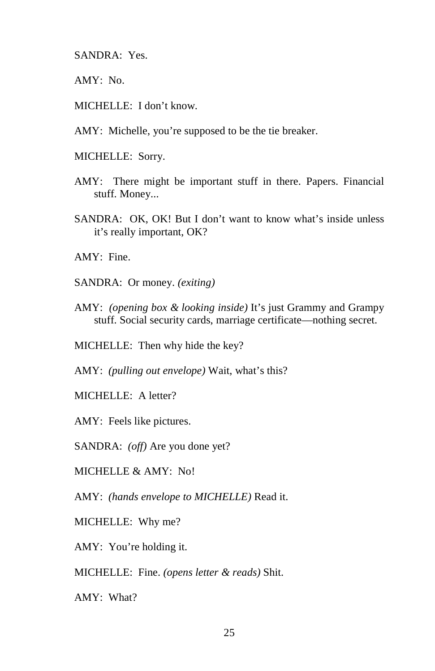SANDRA: Yes.

AMY: No.

MICHELLE: I don't know.

AMY: Michelle, you're supposed to be the tie breaker.

- MICHELLE: Sorry.
- AMY: There might be important stuff in there. Papers. Financial stuff. Money...
- SANDRA: OK, OK! But I don't want to know what's inside unless it's really important, OK?

AMY: Fine.

- SANDRA: Or money. *(exiting)*
- AMY: *(opening box & looking inside)* It's just Grammy and Grampy stuff. Social security cards, marriage certificate—nothing secret.
- MICHELLE: Then why hide the key?
- AMY: *(pulling out envelope)* Wait, what's this?
- MICHELLE: A letter?

AMY: Feels like pictures.

SANDRA: *(off)* Are you done yet?

MICHELLE & AMY: No!

AMY: *(hands envelope to MICHELLE)* Read it.

MICHELLE: Why me?

AMY: You're holding it.

MICHELLE: Fine. *(opens letter & reads)* Shit.

AMY: What?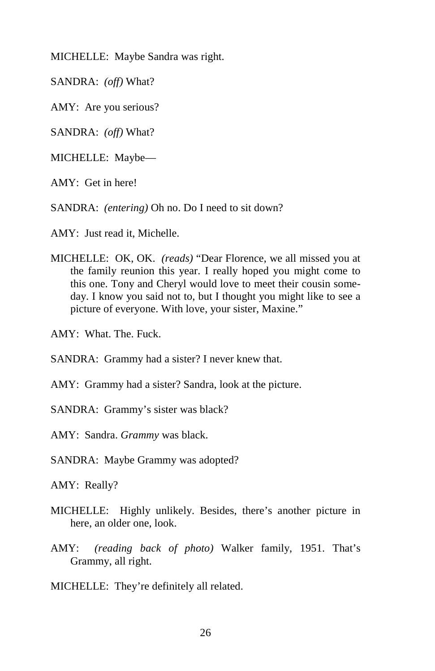MICHELLE: Maybe Sandra was right.

SANDRA: *(off)* What?

AMY: Are you serious?

SANDRA: *(off)* What?

MICHELLE: Maybe—

AMY: Get in here!

SANDRA: *(entering)* Oh no. Do I need to sit down?

AMY: Just read it, Michelle.

MICHELLE: OK, OK. *(reads)* "Dear Florence, we all missed you at the family reunion this year. I really hoped you might come to this one. Tony and Cheryl would love to meet their cousin someday. I know you said not to, but I thought you might like to see a picture of everyone. With love, your sister, Maxine."

AMY: What. The. Fuck.

SANDRA: Grammy had a sister? I never knew that.

AMY: Grammy had a sister? Sandra, look at the picture.

SANDRA: Grammy's sister was black?

AMY: Sandra. *Grammy* was black.

SANDRA: Maybe Grammy was adopted?

AMY: Really?

- MICHELLE: Highly unlikely. Besides, there's another picture in here, an older one, look.
- AMY: *(reading back of photo)* Walker family, 1951. That's Grammy, all right.

MICHELLE: They're definitely all related.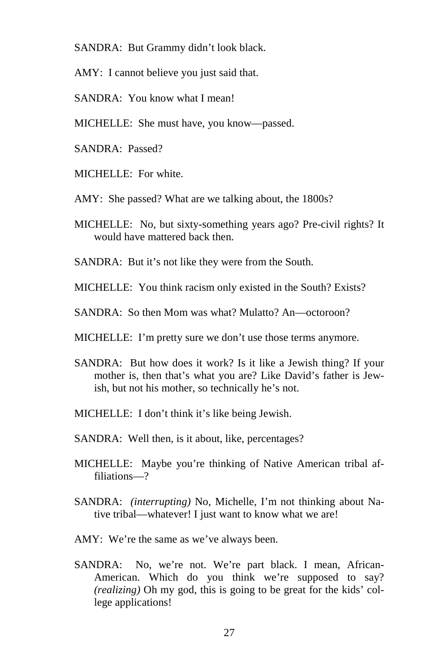SANDRA: But Grammy didn't look black.

AMY: I cannot believe you just said that.

SANDRA: You know what I mean!

MICHELLE: She must have, you know—passed.

SANDRA: Passed?

MICHELLE: For white.

AMY: She passed? What are we talking about, the 1800s?

MICHELLE: No, but sixty-something years ago? Pre-civil rights? It would have mattered back then.

SANDRA: But it's not like they were from the South.

MICHELLE: You think racism only existed in the South? Exists?

 $SANDRA:$  So then Mom was what? Mulatto? An—octoroon?

MICHELLE: I'm pretty sure we don't use those terms anymore.

- SANDRA: But how does it work? Is it like a Jewish thing? If your mother is, then that's what you are? Like David's father is Jewish, but not his mother, so technically he's not.
- MICHELLE: I don't think it's like being Jewish.
- SANDRA: Well then, is it about, like, percentages?
- MICHELLE: Maybe you're thinking of Native American tribal affiliations—?
- SANDRA: *(interrupting)* No, Michelle, I'm not thinking about Native tribal—whatever! I just want to know what we are!
- AMY: We're the same as we've always been.
- SANDRA: No, we're not. We're part black. I mean, African-American. Which do you think we're supposed to say? *(realizing)* Oh my god, this is going to be great for the kids' college applications!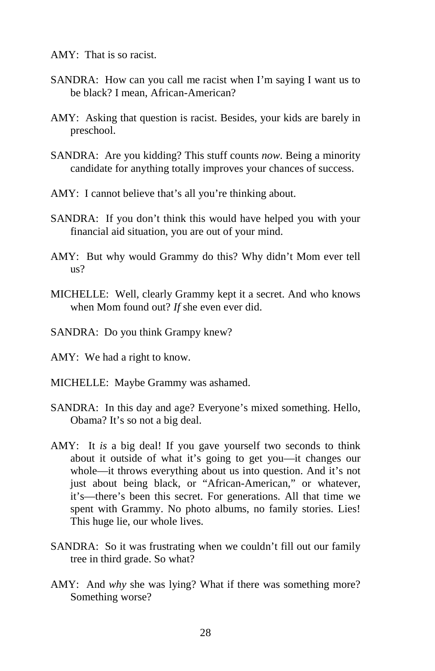- AMY: That is so racist.
- SANDRA: How can you call me racist when I'm saying I want us to be black? I mean, African-American?
- AMY: Asking that question is racist. Besides, your kids are barely in preschool.
- SANDRA: Are you kidding? This stuff counts *now*. Being a minority candidate for anything totally improves your chances of success.
- AMY: I cannot believe that's all you're thinking about.
- SANDRA: If you don't think this would have helped you with your financial aid situation, you are out of your mind.
- AMY: But why would Grammy do this? Why didn't Mom ever tell us?
- MICHELLE: Well, clearly Grammy kept it a secret. And who knows when Mom found out? *If* she even ever did.
- SANDRA: Do you think Grampy knew?
- AMY: We had a right to know.
- MICHELLE: Maybe Grammy was ashamed.
- SANDRA: In this day and age? Everyone's mixed something. Hello, Obama? It's so not a big deal.
- AMY: It *is* a big deal! If you gave yourself two seconds to think about it outside of what it's going to get you—it changes our whole—it throws everything about us into question. And it's not just about being black, or "African-American," or whatever, it's—there's been this secret. For generations. All that time we spent with Grammy. No photo albums, no family stories. Lies! This huge lie, our whole lives.
- SANDRA: So it was frustrating when we couldn't fill out our family tree in third grade. So what?
- AMY: And *why* she was lying? What if there was something more? Something worse?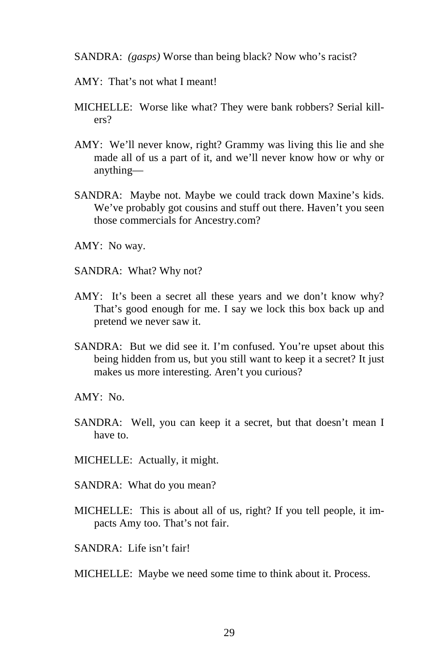SANDRA: *(gasps)* Worse than being black? Now who's racist?

- AMY: That's not what I meant!
- MICHELLE: Worse like what? They were bank robbers? Serial killers?
- AMY: We'll never know, right? Grammy was living this lie and she made all of us a part of it, and we'll never know how or why or anything—
- SANDRA: Maybe not. Maybe we could track down Maxine's kids. We've probably got cousins and stuff out there. Haven't you seen those commercials for Ancestry.com?
- AMY: No way.
- SANDRA: What? Why not?
- AMY: It's been a secret all these years and we don't know why? That's good enough for me. I say we lock this box back up and pretend we never saw it.
- SANDRA: But we did see it. I'm confused. You're upset about this being hidden from us, but you still want to keep it a secret? It just makes us more interesting. Aren't you curious?

AMY: No.

- SANDRA: Well, you can keep it a secret, but that doesn't mean I have to.
- MICHELLE: Actually, it might.
- SANDRA: What do you mean?
- MICHELLE: This is about all of us, right? If you tell people, it impacts Amy too. That's not fair.
- SANDRA: Life isn't fair!

MICHELLE: Maybe we need some time to think about it. Process.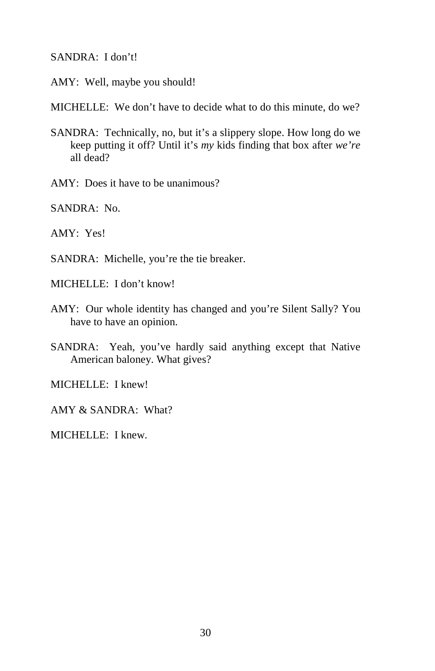SANDRA: I don't!

AMY: Well, maybe you should!

MICHELLE: We don't have to decide what to do this minute, do we?

SANDRA: Technically, no, but it's a slippery slope. How long do we keep putting it off? Until it's *my* kids finding that box after *we're* all dead?

AMY: Does it have to be unanimous?

SANDRA: No.

AMY: Yes!

SANDRA: Michelle, you're the tie breaker.

MICHELLE: I don't know!

- AMY: Our whole identity has changed and you're Silent Sally? You have to have an opinion.
- SANDRA: Yeah, you've hardly said anything except that Native American baloney. What gives?

MICHELLE: I knew!

AMY & SANDRA: What?

MICHELLE: I knew.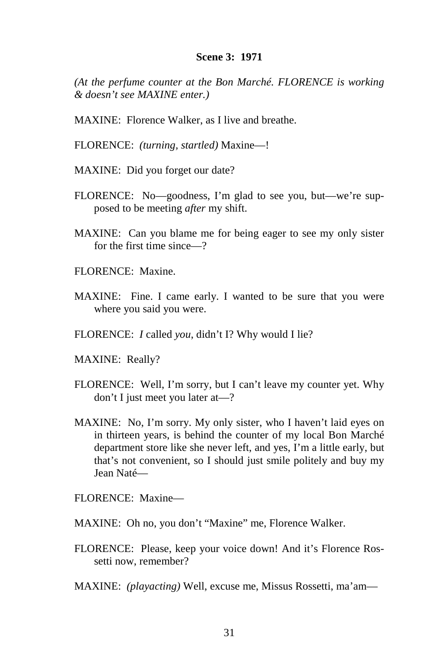#### **Scene 3: 1971**

*(At the perfume counter at the Bon Marché. FLORENCE is working & doesn't see MAXINE enter.)* 

MAXINE: Florence Walker, as I live and breathe.

FLORENCE: *(turning, startled)* Maxine—!

- MAXINE: Did you forget our date?
- FLORENCE: No—goodness, I'm glad to see you, but—we're supposed to be meeting *after* my shift.
- MAXINE: Can you blame me for being eager to see my only sister for the first time since—?
- FLORENCE: Maxine.
- MAXINE: Fine. I came early. I wanted to be sure that you were where you said you were.
- FLORENCE: *I* called *you*, didn't I? Why would I lie?
- MAXINE: Really?
- FLORENCE: Well, I'm sorry, but I can't leave my counter yet. Why don't I just meet you later at—?
- MAXINE: No, I'm sorry. My only sister, who I haven't laid eyes on in thirteen years, is behind the counter of my local Bon Marché department store like she never left, and yes, I'm a little early, but that's not convenient, so I should just smile politely and buy my Jean Naté—
- FLORENCE: Maxine—
- MAXINE: Oh no, you don't "Maxine" me, Florence Walker.
- FLORENCE: Please, keep your voice down! And it's Florence Rossetti now, remember?
- MAXINE: *(playacting)* Well, excuse me, Missus Rossetti, ma'am—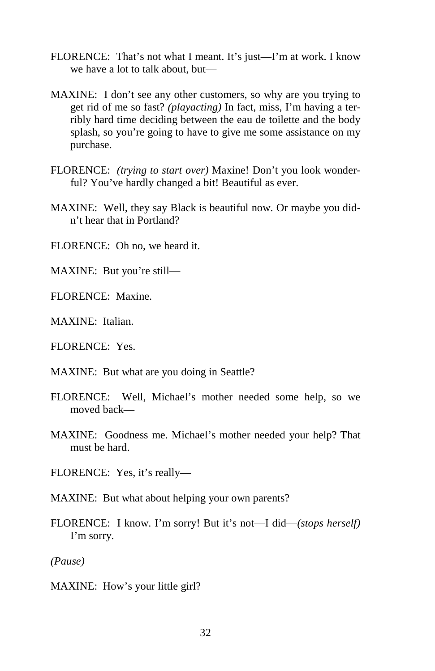- FLORENCE: That's not what I meant. It's just—I'm at work. I know we have a lot to talk about, but—
- MAXINE: I don't see any other customers, so why are you trying to get rid of me so fast? *(playacting)* In fact, miss, I'm having a terribly hard time deciding between the eau de toilette and the body splash, so you're going to have to give me some assistance on my purchase.
- FLORENCE: *(trying to start over)* Maxine! Don't you look wonderful? You've hardly changed a bit! Beautiful as ever.
- MAXINE: Well, they say Black is beautiful now. Or maybe you didn't hear that in Portland?

FLORENCE: Oh no, we heard it.

MAXINE: But you're still—

FLORENCE: Maxine.

MAXINE: Italian.

FLORENCE: Yes.

MAXINE: But what are you doing in Seattle?

- FLORENCE: Well, Michael's mother needed some help, so we moved back—
- MAXINE: Goodness me. Michael's mother needed your help? That must be hard.
- FLORENCE: Yes, it's really—
- MAXINE: But what about helping your own parents?
- FLORENCE: I know. I'm sorry! But it's not—I did—*(stops herself)*  I'm sorry.

*(Pause)* 

MAXINE: How's your little girl?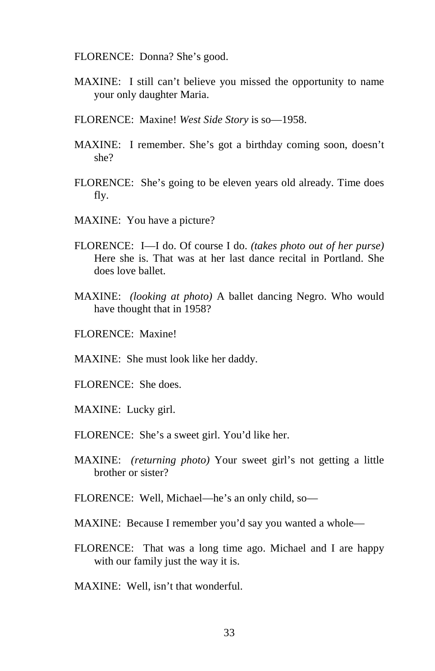FLORENCE: Donna? She's good.

- MAXINE: I still can't believe you missed the opportunity to name your only daughter Maria.
- FLORENCE: Maxine! *West Side Story* is so—1958.
- MAXINE: I remember. She's got a birthday coming soon, doesn't she?
- FLORENCE: She's going to be eleven years old already. Time does fly.
- MAXINE: You have a picture?
- FLORENCE: I—I do. Of course I do. *(takes photo out of her purse)*  Here she is. That was at her last dance recital in Portland. She does love ballet.
- MAXINE: *(looking at photo)* A ballet dancing Negro. Who would have thought that in 1958?
- FLORENCE: Maxine!
- MAXINE: She must look like her daddy.
- FLORENCE: She does.
- MAXINE: Lucky girl.
- FLORENCE: She's a sweet girl. You'd like her.
- MAXINE: *(returning photo)* Your sweet girl's not getting a little brother or sister?
- FLORENCE: Well, Michael—he's an only child, so—
- MAXINE: Because I remember you'd say you wanted a whole—
- FLORENCE: That was a long time ago. Michael and I are happy with our family just the way it is.
- MAXINE: Well, isn't that wonderful.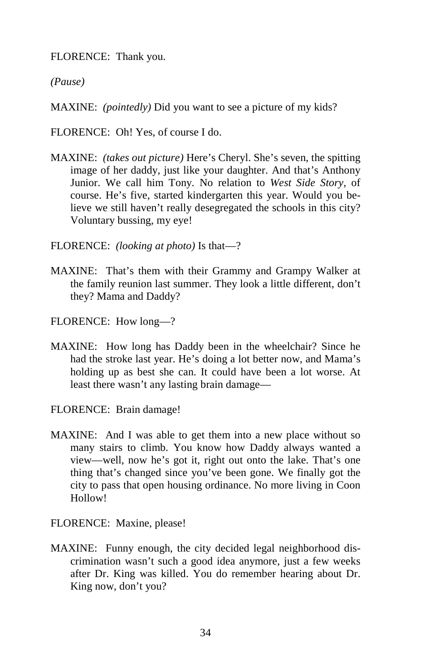FLORENCE: Thank you.

*(Pause)* 

MAXINE: *(pointedly)* Did you want to see a picture of my kids?

FLORENCE: Oh! Yes, of course I do.

- MAXINE: *(takes out picture)* Here's Cheryl. She's seven, the spitting image of her daddy, just like your daughter. And that's Anthony Junior. We call him Tony. No relation to *West Side Story*, of course. He's five, started kindergarten this year. Would you believe we still haven't really desegregated the schools in this city? Voluntary bussing, my eye!
- FLORENCE: *(looking at photo)* Is that—?
- MAXINE: That's them with their Grammy and Grampy Walker at the family reunion last summer. They look a little different, don't they? Mama and Daddy?
- FLORENCE: How long—?
- MAXINE: How long has Daddy been in the wheelchair? Since he had the stroke last year. He's doing a lot better now, and Mama's holding up as best she can. It could have been a lot worse. At least there wasn't any lasting brain damage—
- FLORENCE: Brain damage!
- MAXINE: And I was able to get them into a new place without so many stairs to climb. You know how Daddy always wanted a view—well, now he's got it, right out onto the lake. That's one thing that's changed since you've been gone. We finally got the city to pass that open housing ordinance. No more living in Coon Hollow!

FLORENCE: Maxine, please!

MAXINE: Funny enough, the city decided legal neighborhood discrimination wasn't such a good idea anymore, just a few weeks after Dr. King was killed. You do remember hearing about Dr. King now, don't you?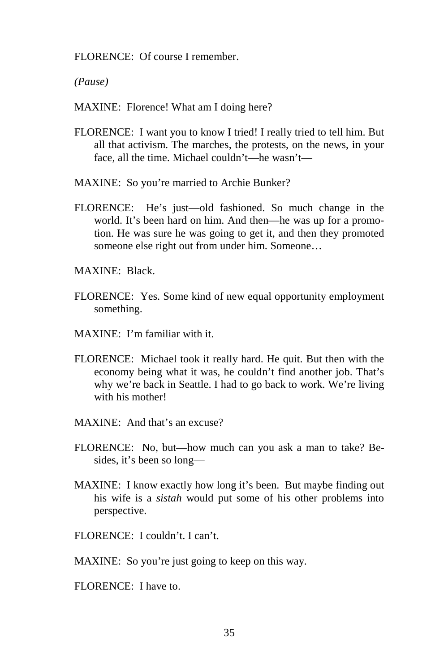FLORENCE: Of course I remember.

*(Pause)* 

- MAXINE: Florence! What am I doing here?
- FLORENCE: I want you to know I tried! I really tried to tell him. But all that activism. The marches, the protests, on the news, in your face, all the time. Michael couldn't—he wasn't—
- MAXINE: So you're married to Archie Bunker?
- FLORENCE: He's just—old fashioned. So much change in the world. It's been hard on him. And then—he was up for a promotion. He was sure he was going to get it, and then they promoted someone else right out from under him. Someone…
- MAXINE: Black.
- FLORENCE: Yes. Some kind of new equal opportunity employment something.
- MAXINE: I'm familiar with it.
- FLORENCE: Michael took it really hard. He quit. But then with the economy being what it was, he couldn't find another job. That's why we're back in Seattle. I had to go back to work. We're living with his mother!
- MAXINE: And that's an excuse?
- FLORENCE: No, but—how much can you ask a man to take? Besides, it's been so long—
- MAXINE: I know exactly how long it's been. But maybe finding out his wife is a *sistah* would put some of his other problems into perspective.
- FLORENCE: I couldn't. I can't.
- MAXINE: So you're just going to keep on this way.
- FLORENCE: I have to.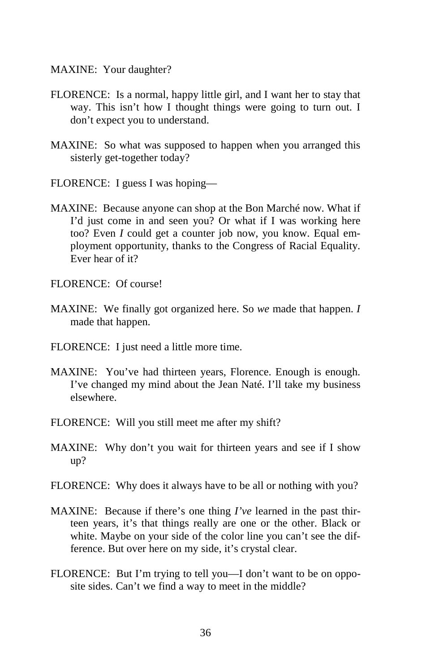MAXINE: Your daughter?

- FLORENCE: Is a normal, happy little girl, and I want her to stay that way. This isn't how I thought things were going to turn out. I don't expect you to understand.
- MAXINE: So what was supposed to happen when you arranged this sisterly get-together today?
- FLORENCE: I guess I was hoping—
- MAXINE: Because anyone can shop at the Bon Marché now. What if I'd just come in and seen you? Or what if I was working here too? Even *I* could get a counter job now, you know. Equal employment opportunity, thanks to the Congress of Racial Equality. Ever hear of it?
- FLORENCE: Of course!
- MAXINE: We finally got organized here. So *we* made that happen. *I*  made that happen.
- FLORENCE: I just need a little more time.
- MAXINE: You've had thirteen years, Florence. Enough is enough. I've changed my mind about the Jean Naté. I'll take my business elsewhere.
- FLORENCE: Will you still meet me after my shift?
- MAXINE: Why don't you wait for thirteen years and see if I show up?
- FLORENCE: Why does it always have to be all or nothing with you?
- MAXINE: Because if there's one thing *I've* learned in the past thirteen years, it's that things really are one or the other. Black or white. Maybe on your side of the color line you can't see the difference. But over here on my side, it's crystal clear.
- FLORENCE: But I'm trying to tell you—I don't want to be on opposite sides. Can't we find a way to meet in the middle?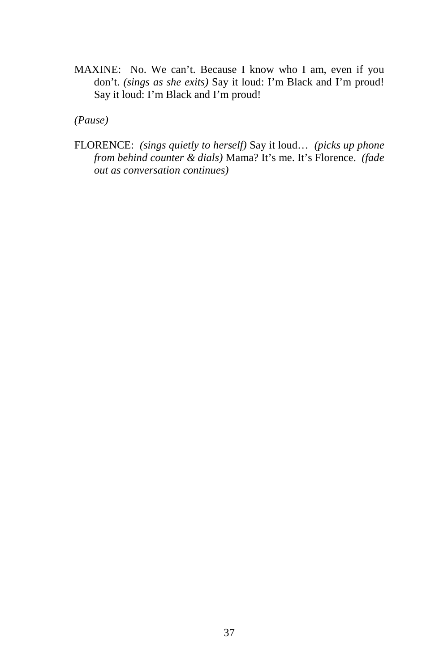MAXINE: No. We can't. Because I know who I am, even if you don't. *(sings as she exits)* Say it loud: I'm Black and I'm proud! Say it loud: I'm Black and I'm proud!

*(Pause)* 

FLORENCE: *(sings quietly to herself)* Say it loud… *(picks up phone from behind counter & dials)* Mama? It's me. It's Florence. *(fade out as conversation continues)*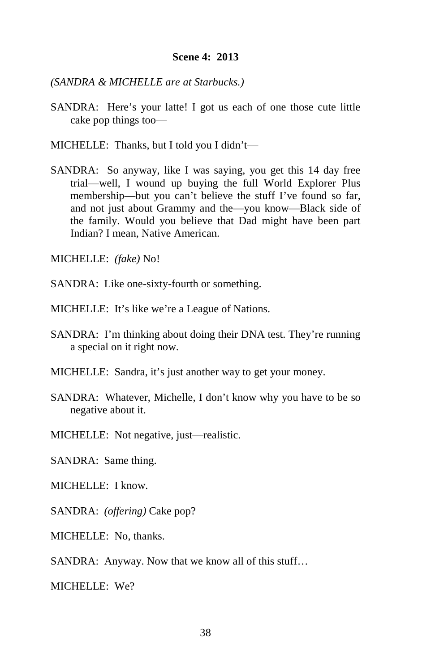*(SANDRA & MICHELLE are at Starbucks.)* 

- SANDRA: Here's your latte! I got us each of one those cute little cake pop things too—
- MICHELLE: Thanks, but I told you I didn't—
- SANDRA: So anyway, like I was saying, you get this 14 day free trial—well, I wound up buying the full World Explorer Plus membership—but you can't believe the stuff I've found so far, and not just about Grammy and the—you know—Black side of the family. Would you believe that Dad might have been part Indian? I mean, Native American.
- MICHELLE: *(fake)* No!
- SANDRA: Like one-sixty-fourth or something.
- MICHELLE: It's like we're a League of Nations.
- SANDRA: I'm thinking about doing their DNA test. They're running a special on it right now.
- MICHELLE: Sandra, it's just another way to get your money.
- SANDRA: Whatever, Michelle, I don't know why you have to be so negative about it.
- MICHELLE: Not negative, just—realistic.
- SANDRA: Same thing.
- MICHELLE: I know.
- SANDRA: *(offering)* Cake pop?
- MICHELLE: No, thanks.
- SANDRA: Anyway. Now that we know all of this stuff…

 $MICHELLE: We?$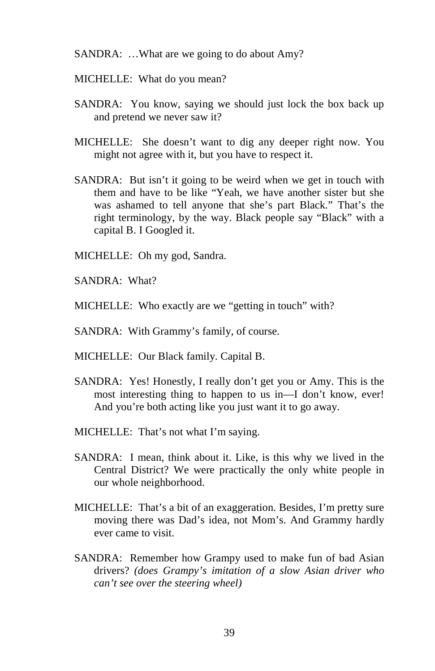- SANDRA: …What are we going to do about Amy?
- MICHELLE: What do you mean?
- SANDRA: You know, saying we should just lock the box back up and pretend we never saw it?
- MICHELLE: She doesn't want to dig any deeper right now. You might not agree with it, but you have to respect it.
- SANDRA: But isn't it going to be weird when we get in touch with them and have to be like "Yeah, we have another sister but she was ashamed to tell anyone that she's part Black." That's the right terminology, by the way. Black people say "Black" with a capital B. I Googled it.
- MICHELLE: Oh my god, Sandra.
- SANDRA: What?
- MICHELLE: Who exactly are we "getting in touch" with?
- SANDRA: With Grammy's family, of course.
- MICHELLE: Our Black family. Capital B.
- SANDRA: Yes! Honestly, I really don't get you or Amy. This is the most interesting thing to happen to us in—I don't know, ever! And you're both acting like you just want it to go away.
- MICHELLE: That's not what I'm saying.
- SANDRA: I mean, think about it. Like, is this why we lived in the Central District? We were practically the only white people in our whole neighborhood.
- MICHELLE: That's a bit of an exaggeration. Besides, I'm pretty sure moving there was Dad's idea, not Mom's. And Grammy hardly ever came to visit.
- SANDRA: Remember how Grampy used to make fun of bad Asian drivers? *(does Grampy's imitation of a slow Asian driver who can't see over the steering wheel)*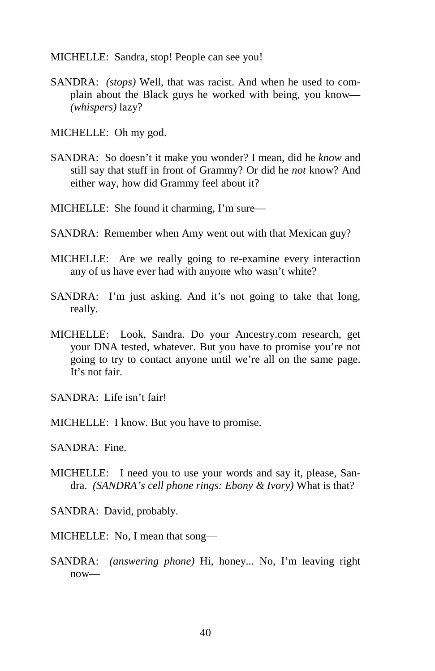MICHELLE: Sandra, stop! People can see you!

SANDRA: *(stops)* Well, that was racist. And when he used to complain about the Black guys he worked with being, you know— *(whispers)* lazy?

MICHELLE: Oh my god.

SANDRA: So doesn't it make you wonder? I mean, did he *know* and still say that stuff in front of Grammy? Or did he *not* know? And either way, how did Grammy feel about it?

MICHELLE: She found it charming, I'm sure—

- SANDRA: Remember when Amy went out with that Mexican guy?
- MICHELLE: Are we really going to re-examine every interaction any of us have ever had with anyone who wasn't white?
- SANDRA: I'm just asking. And it's not going to take that long, really.
- MICHELLE: Look, Sandra. Do your Ancestry.com research, get your DNA tested, whatever. But you have to promise you're not going to try to contact anyone until we're all on the same page. It's not fair.

SANDRA: Life isn't fair!

MICHELLE: I know. But you have to promise.

SANDRA: Fine.

MICHELLE: I need you to use your words and say it, please, Sandra. *(SANDRA's cell phone rings: Ebony & Ivory)* What is that?

SANDRA: David, probably.

- MICHELLE: No, I mean that song—
- SANDRA: *(answering phone)* Hi, honey... No, I'm leaving right now—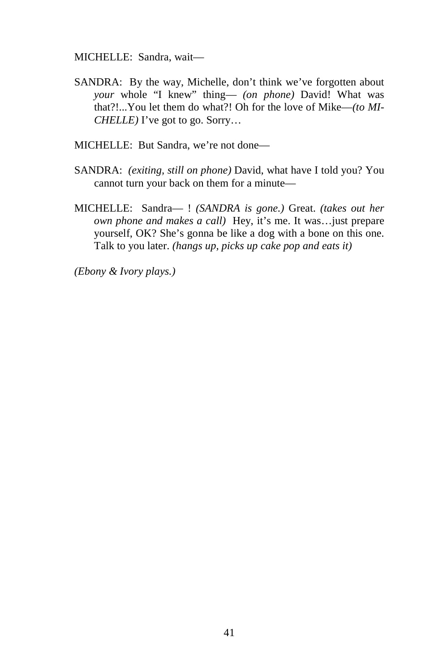MICHELLE: Sandra, wait—

SANDRA: By the way, Michelle, don't think we've forgotten about *your* whole "I knew" thing— *(on phone)* David! What was that?!...You let them do what?! Oh for the love of Mike—*(to MI-CHELLE)* I've got to go. Sorry…

MICHELLE: But Sandra, we're not done—

- SANDRA: *(exiting, still on phone)* David, what have I told you? You cannot turn your back on them for a minute—
- MICHELLE: Sandra— ! *(SANDRA is gone.)* Great. *(takes out her own phone and makes a call)* Hey, it's me. It was…just prepare yourself, OK? She's gonna be like a dog with a bone on this one. Talk to you later. *(hangs up, picks up cake pop and eats it)*

*(Ebony & Ivory plays.)*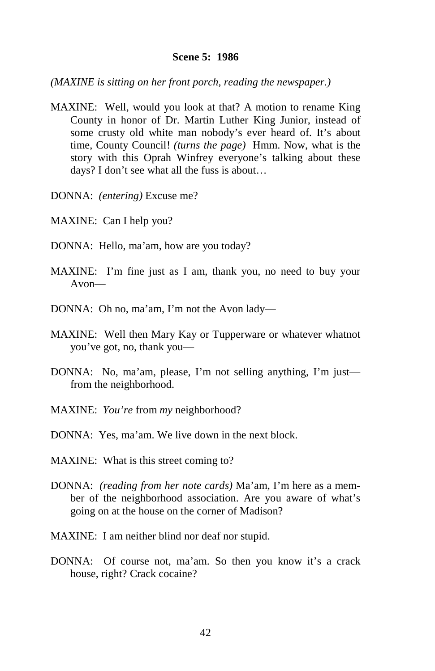#### **Scene 5: 1986**

*(MAXINE is sitting on her front porch, reading the newspaper.)* 

- MAXINE: Well, would you look at that? A motion to rename King County in honor of Dr. Martin Luther King Junior, instead of some crusty old white man nobody's ever heard of. It's about time, County Council! *(turns the page)* Hmm. Now, what is the story with this Oprah Winfrey everyone's talking about these days? I don't see what all the fuss is about…
- DONNA: *(entering)* Excuse me?
- MAXINE: Can I help you?
- DONNA: Hello, ma'am, how are you today?
- MAXINE: I'm fine just as I am, thank you, no need to buy your Avon—
- DONNA: Oh no, ma'am, I'm not the Avon lady—
- MAXINE: Well then Mary Kay or Tupperware or whatever whatnot you've got, no, thank you—
- DONNA: No, ma'am, please, I'm not selling anything, I'm just from the neighborhood.
- MAXINE: *You're* from *my* neighborhood?
- DONNA: Yes, ma'am. We live down in the next block.
- MAXINE: What is this street coming to?
- DONNA: *(reading from her note cards)* Ma'am, I'm here as a member of the neighborhood association. Are you aware of what's going on at the house on the corner of Madison?
- MAXINE: I am neither blind nor deaf nor stupid.
- DONNA: Of course not, ma'am. So then you know it's a crack house, right? Crack cocaine?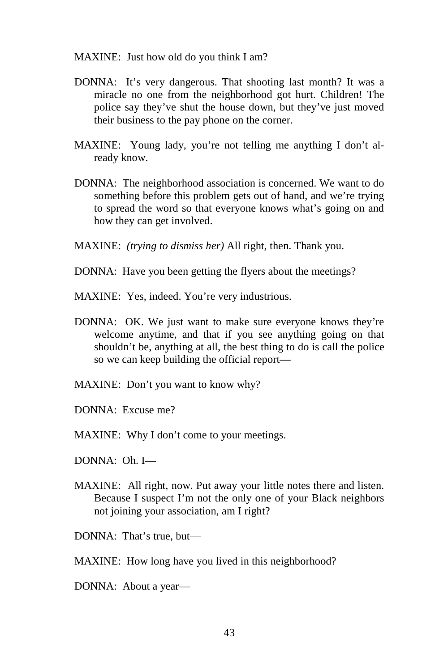- MAXINE: Just how old do you think I am?
- DONNA: It's very dangerous. That shooting last month? It was a miracle no one from the neighborhood got hurt. Children! The police say they've shut the house down, but they've just moved their business to the pay phone on the corner.
- MAXINE: Young lady, you're not telling me anything I don't already know.
- DONNA: The neighborhood association is concerned. We want to do something before this problem gets out of hand, and we're trying to spread the word so that everyone knows what's going on and how they can get involved.
- MAXINE: *(trying to dismiss her)* All right, then. Thank you.
- DONNA: Have you been getting the flyers about the meetings?
- MAXINE: Yes, indeed. You're very industrious.
- DONNA: OK. We just want to make sure everyone knows they're welcome anytime, and that if you see anything going on that shouldn't be, anything at all, the best thing to do is call the police so we can keep building the official report—
- MAXINE: Don't you want to know why?
- $DOMNA \cdot$  Excuse me?
- MAXINE: Why I don't come to your meetings.
- DONNA: Oh. I—
- MAXINE: All right, now. Put away your little notes there and listen. Because I suspect I'm not the only one of your Black neighbors not joining your association, am I right?
- DONNA: That's true, but—
- MAXINE: How long have you lived in this neighborhood?
- DONNA: About a year—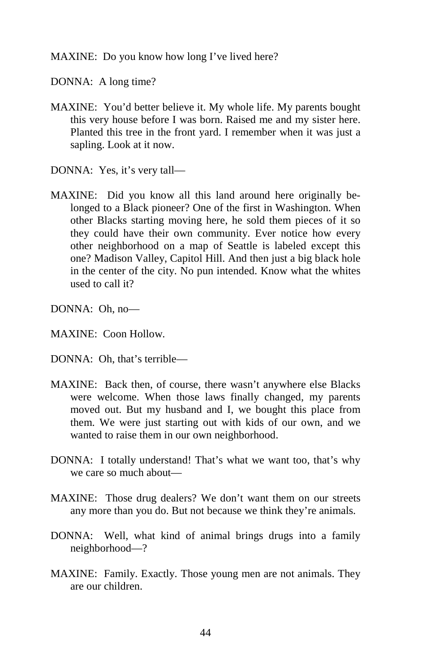MAXINE: Do you know how long I've lived here?

DONNA: A long time?

- MAXINE: You'd better believe it. My whole life. My parents bought this very house before I was born. Raised me and my sister here. Planted this tree in the front yard. I remember when it was just a sapling. Look at it now.
- DONNA: Yes, it's very tall—
- MAXINE: Did you know all this land around here originally belonged to a Black pioneer? One of the first in Washington. When other Blacks starting moving here, he sold them pieces of it so they could have their own community. Ever notice how every other neighborhood on a map of Seattle is labeled except this one? Madison Valley, Capitol Hill. And then just a big black hole in the center of the city. No pun intended. Know what the whites used to call it?

DONNA: Oh, no—

- MAXINE: Coon Hollow.
- DONNA: Oh, that's terrible—
- MAXINE: Back then, of course, there wasn't anywhere else Blacks were welcome. When those laws finally changed, my parents moved out. But my husband and I, we bought this place from them. We were just starting out with kids of our own, and we wanted to raise them in our own neighborhood.
- DONNA: I totally understand! That's what we want too, that's why we care so much about—
- MAXINE: Those drug dealers? We don't want them on our streets any more than you do. But not because we think they're animals.
- DONNA: Well, what kind of animal brings drugs into a family neighborhood—?
- MAXINE: Family. Exactly. Those young men are not animals. They are our children.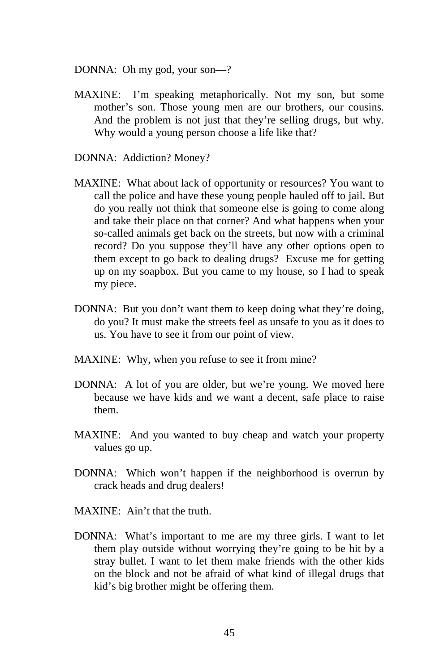- DONNA: Oh my god, your son—?
- MAXINE: I'm speaking metaphorically. Not my son, but some mother's son. Those young men are our brothers, our cousins. And the problem is not just that they're selling drugs, but why. Why would a young person choose a life like that?
- DONNA: Addiction? Money?
- MAXINE: What about lack of opportunity or resources? You want to call the police and have these young people hauled off to jail. But do you really not think that someone else is going to come along and take their place on that corner? And what happens when your so-called animals get back on the streets, but now with a criminal record? Do you suppose they'll have any other options open to them except to go back to dealing drugs? Excuse me for getting up on my soapbox. But you came to my house, so I had to speak my piece.
- DONNA: But you don't want them to keep doing what they're doing, do you? It must make the streets feel as unsafe to you as it does to us. You have to see it from our point of view.
- MAXINE: Why, when you refuse to see it from mine?
- DONNA: A lot of you are older, but we're young. We moved here because we have kids and we want a decent, safe place to raise them.
- MAXINE: And you wanted to buy cheap and watch your property values go up.
- DONNA: Which won't happen if the neighborhood is overrun by crack heads and drug dealers!
- MAXINE: Ain't that the truth.
- DONNA: What's important to me are my three girls. I want to let them play outside without worrying they're going to be hit by a stray bullet. I want to let them make friends with the other kids on the block and not be afraid of what kind of illegal drugs that kid's big brother might be offering them.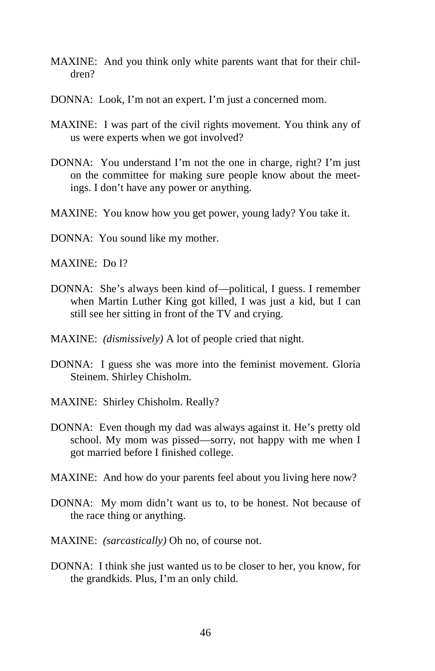- MAXINE: And you think only white parents want that for their children?
- DONNA: Look, I'm not an expert. I'm just a concerned mom.
- MAXINE: I was part of the civil rights movement. You think any of us were experts when we got involved?
- DONNA: You understand I'm not the one in charge, right? I'm just on the committee for making sure people know about the meetings. I don't have any power or anything.
- MAXINE: You know how you get power, young lady? You take it.
- DONNA: You sound like my mother.
- MAXINE: Do I?
- DONNA: She's always been kind of—political, I guess. I remember when Martin Luther King got killed, I was just a kid, but I can still see her sitting in front of the TV and crying.
- MAXINE: *(dismissively)* A lot of people cried that night.
- DONNA: I guess she was more into the feminist movement. Gloria Steinem. Shirley Chisholm.
- MAXINE: Shirley Chisholm. Really?
- DONNA: Even though my dad was always against it. He's pretty old school. My mom was pissed—sorry, not happy with me when I got married before I finished college.
- MAXINE: And how do your parents feel about you living here now?
- DONNA: My mom didn't want us to, to be honest. Not because of the race thing or anything.
- MAXINE: *(sarcastically)* Oh no, of course not.
- DONNA: I think she just wanted us to be closer to her, you know, for the grandkids. Plus, I'm an only child.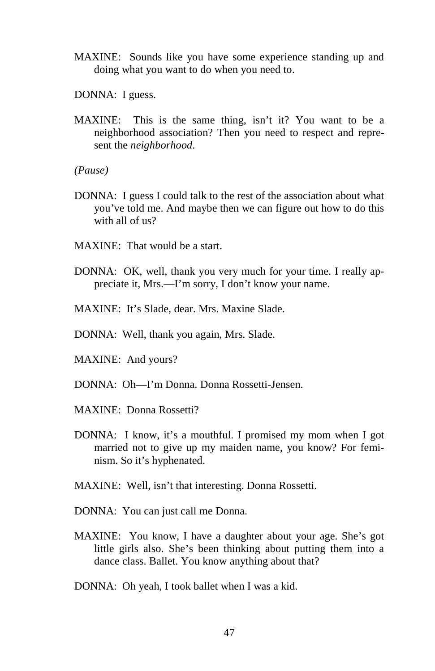- MAXINE: Sounds like you have some experience standing up and doing what you want to do when you need to.
- DONNA: I guess.
- MAXINE: This is the same thing, isn't it? You want to be a neighborhood association? Then you need to respect and represent the *neighborhood*.

*(Pause)* 

- DONNA: I guess I could talk to the rest of the association about what you've told me. And maybe then we can figure out how to do this with all of us?
- MAXINE: That would be a start.
- DONNA: OK, well, thank you very much for your time. I really appreciate it, Mrs.—I'm sorry, I don't know your name.
- MAXINE: It's Slade, dear. Mrs. Maxine Slade.
- DONNA: Well, thank you again, Mrs. Slade.
- MAXINE: And yours?
- DONNA: Oh—I'm Donna. Donna Rossetti-Jensen.
- MAXINE: Donna Rossetti?
- DONNA: I know, it's a mouthful. I promised my mom when I got married not to give up my maiden name, you know? For feminism. So it's hyphenated.
- MAXINE: Well, isn't that interesting. Donna Rossetti.
- DONNA: You can just call me Donna.
- MAXINE: You know, I have a daughter about your age. She's got little girls also. She's been thinking about putting them into a dance class. Ballet. You know anything about that?
- DONNA: Oh yeah, I took ballet when I was a kid.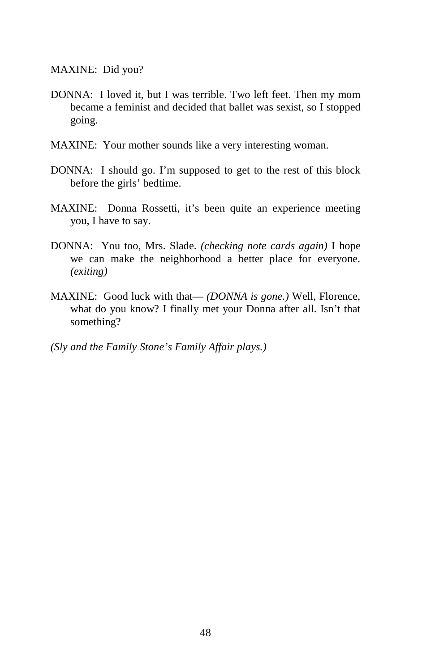#### MAXINE: Did you?

- DONNA: I loved it, but I was terrible. Two left feet. Then my mom became a feminist and decided that ballet was sexist, so I stopped going.
- MAXINE: Your mother sounds like a very interesting woman.
- DONNA: I should go. I'm supposed to get to the rest of this block before the girls' bedtime.
- MAXINE: Donna Rossetti, it's been quite an experience meeting you, I have to say.
- DONNA: You too, Mrs. Slade. *(checking note cards again)* I hope we can make the neighborhood a better place for everyone. *(exiting)*
- MAXINE: Good luck with that— *(DONNA is gone.)* Well, Florence, what do you know? I finally met your Donna after all. Isn't that something?
- *(Sly and the Family Stone's Family Affair plays.)*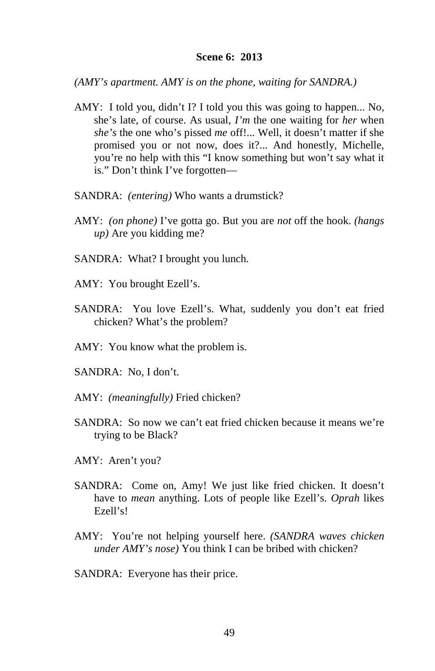#### **Scene 6: 2013**

*(AMY's apartment. AMY is on the phone, waiting for SANDRA.)* 

- AMY: I told you, didn't I? I told you this was going to happen... No, she's late, of course. As usual, *I'm* the one waiting for *her* when *she's* the one who's pissed *me* off!... Well, it doesn't matter if she promised you or not now, does it?... And honestly, Michelle, you're no help with this "I know something but won't say what it is." Don't think I've forgotten—
- SANDRA: *(entering)* Who wants a drumstick?
- AMY: *(on phone)* I've gotta go. But you are *not* off the hook. *(hangs up)* Are you kidding me?
- SANDRA: What? I brought you lunch.
- AMY: You brought Ezell's.
- SANDRA: You love Ezell's. What, suddenly you don't eat fried chicken? What's the problem?
- AMY: You know what the problem is.
- SANDRA: No, I don't.
- AMY: *(meaningfully)* Fried chicken?
- SANDRA: So now we can't eat fried chicken because it means we're trying to be Black?
- AMY: Aren't you?
- SANDRA: Come on, Amy! We just like fried chicken. It doesn't have to *mean* anything. Lots of people like Ezell's. *Oprah* likes Ezell's!
- AMY: You're not helping yourself here. *(SANDRA waves chicken under AMY's nose)* You think I can be bribed with chicken?
- SANDRA: Everyone has their price.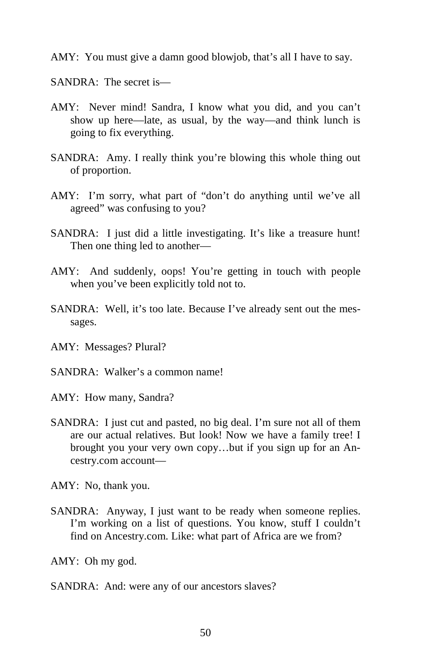AMY: You must give a damn good blowjob, that's all I have to say.

SANDRA: The secret is—

- AMY: Never mind! Sandra, I know what you did, and you can't show up here—late, as usual, by the way—and think lunch is going to fix everything.
- SANDRA: Amy. I really think you're blowing this whole thing out of proportion.
- AMY: I'm sorry, what part of "don't do anything until we've all agreed" was confusing to you?
- SANDRA: I just did a little investigating. It's like a treasure hunt! Then one thing led to another—
- AMY: And suddenly, oops! You're getting in touch with people when you've been explicitly told not to.
- SANDRA: Well, it's too late. Because I've already sent out the messages.
- AMY: Messages? Plural?
- SANDRA: Walker's a common name!
- AMY: How many, Sandra?
- SANDRA: I just cut and pasted, no big deal. I'm sure not all of them are our actual relatives. But look! Now we have a family tree! I brought you your very own copy…but if you sign up for an Ancestry.com account—

AMY: No, thank you.

SANDRA: Anyway, I just want to be ready when someone replies. I'm working on a list of questions. You know, stuff I couldn't find on Ancestry.com. Like: what part of Africa are we from?

AMY: Oh my god.

SANDRA: And: were any of our ancestors slaves?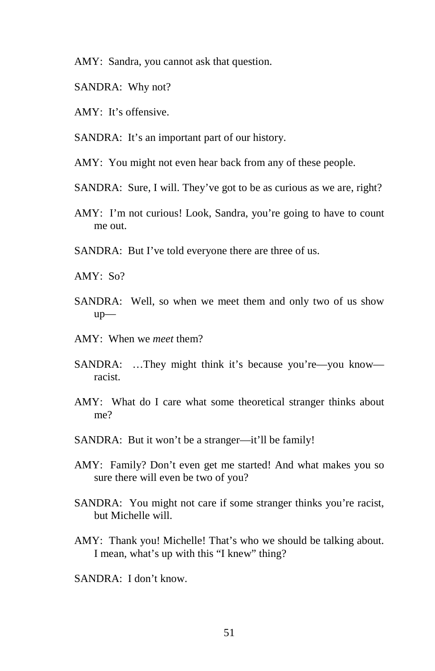AMY: Sandra, you cannot ask that question.

- SANDRA: Why not?
- AMY: It's offensive.
- SANDRA: It's an important part of our history.
- AMY: You might not even hear back from any of these people.
- SANDRA: Sure, I will. They've got to be as curious as we are, right?
- AMY: I'm not curious! Look, Sandra, you're going to have to count me out.
- SANDRA: But I've told everyone there are three of us.

AMY: So?

- SANDRA: Well, so when we meet them and only two of us show up—
- AMY: When we *meet* them?
- SANDRA: …They might think it's because you're—you know racist.
- AMY: What do I care what some theoretical stranger thinks about me?
- SANDRA: But it won't be a stranger—it'll be family!
- AMY: Family? Don't even get me started! And what makes you so sure there will even be two of you?
- SANDRA: You might not care if some stranger thinks you're racist, but Michelle will.
- AMY: Thank you! Michelle! That's who we should be talking about. I mean, what's up with this "I knew" thing?
- SANDRA: I don't know.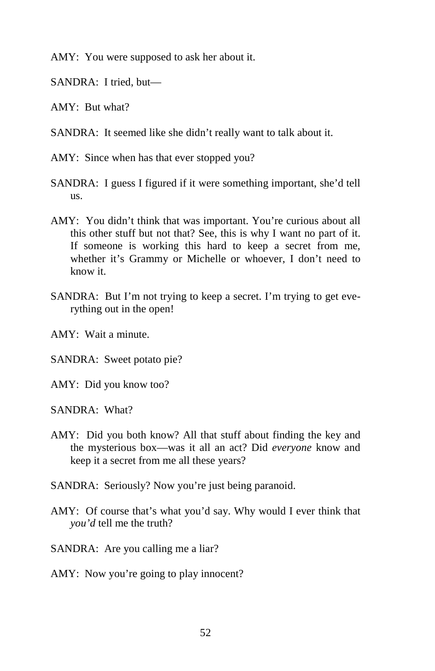AMY: You were supposed to ask her about it.

- SANDRA: I tried, but—
- AMY: But what?
- SANDRA: It seemed like she didn't really want to talk about it.
- AMY: Since when has that ever stopped you?
- SANDRA: I guess I figured if it were something important, she'd tell us.
- AMY: You didn't think that was important. You're curious about all this other stuff but not that? See, this is why I want no part of it. If someone is working this hard to keep a secret from me, whether it's Grammy or Michelle or whoever, I don't need to know it.
- SANDRA: But I'm not trying to keep a secret. I'm trying to get everything out in the open!
- AMY: Wait a minute.
- SANDRA: Sweet potato pie?
- AMY: Did you know too?
- SANDRA: What?
- AMY: Did you both know? All that stuff about finding the key and the mysterious box—was it all an act? Did *everyone* know and keep it a secret from me all these years?
- SANDRA: Seriously? Now you're just being paranoid.
- AMY: Of course that's what you'd say. Why would I ever think that *you'd* tell me the truth?
- SANDRA: Are you calling me a liar?
- AMY: Now you're going to play innocent?